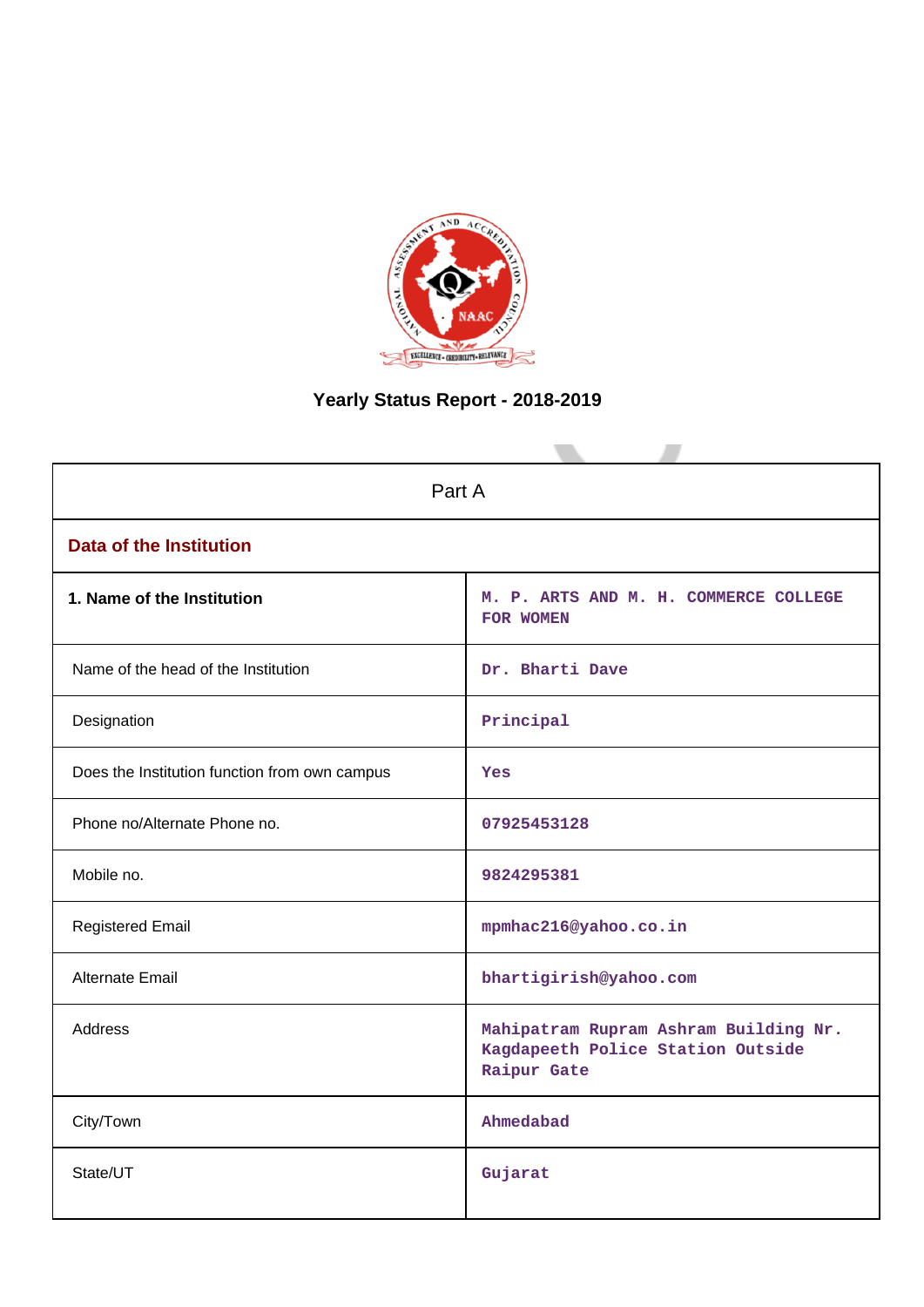

# **Yearly Status Report - 2018-2019**

| Part A                                        |                                                                                           |  |  |  |  |  |  |
|-----------------------------------------------|-------------------------------------------------------------------------------------------|--|--|--|--|--|--|
|                                               |                                                                                           |  |  |  |  |  |  |
| <b>Data of the Institution</b>                |                                                                                           |  |  |  |  |  |  |
| 1. Name of the Institution                    | M. P. ARTS AND M. H. COMMERCE COLLEGE<br><b>FOR WOMEN</b>                                 |  |  |  |  |  |  |
| Name of the head of the Institution           | Dr. Bharti Dave                                                                           |  |  |  |  |  |  |
| Designation                                   | Principal                                                                                 |  |  |  |  |  |  |
| Does the Institution function from own campus | Yes                                                                                       |  |  |  |  |  |  |
| Phone no/Alternate Phone no.                  | 07925453128                                                                               |  |  |  |  |  |  |
| Mobile no.                                    | 9824295381                                                                                |  |  |  |  |  |  |
| <b>Registered Email</b>                       | mpmhac216@yahoo.co.in                                                                     |  |  |  |  |  |  |
| Alternate Email                               | bhartigirish@yahoo.com                                                                    |  |  |  |  |  |  |
| <b>Address</b>                                | Mahipatram Rupram Ashram Building Nr.<br>Kagdapeeth Police Station Outside<br>Raipur Gate |  |  |  |  |  |  |
| City/Town                                     | Ahmedabad                                                                                 |  |  |  |  |  |  |
| State/UT                                      | Gujarat                                                                                   |  |  |  |  |  |  |
|                                               |                                                                                           |  |  |  |  |  |  |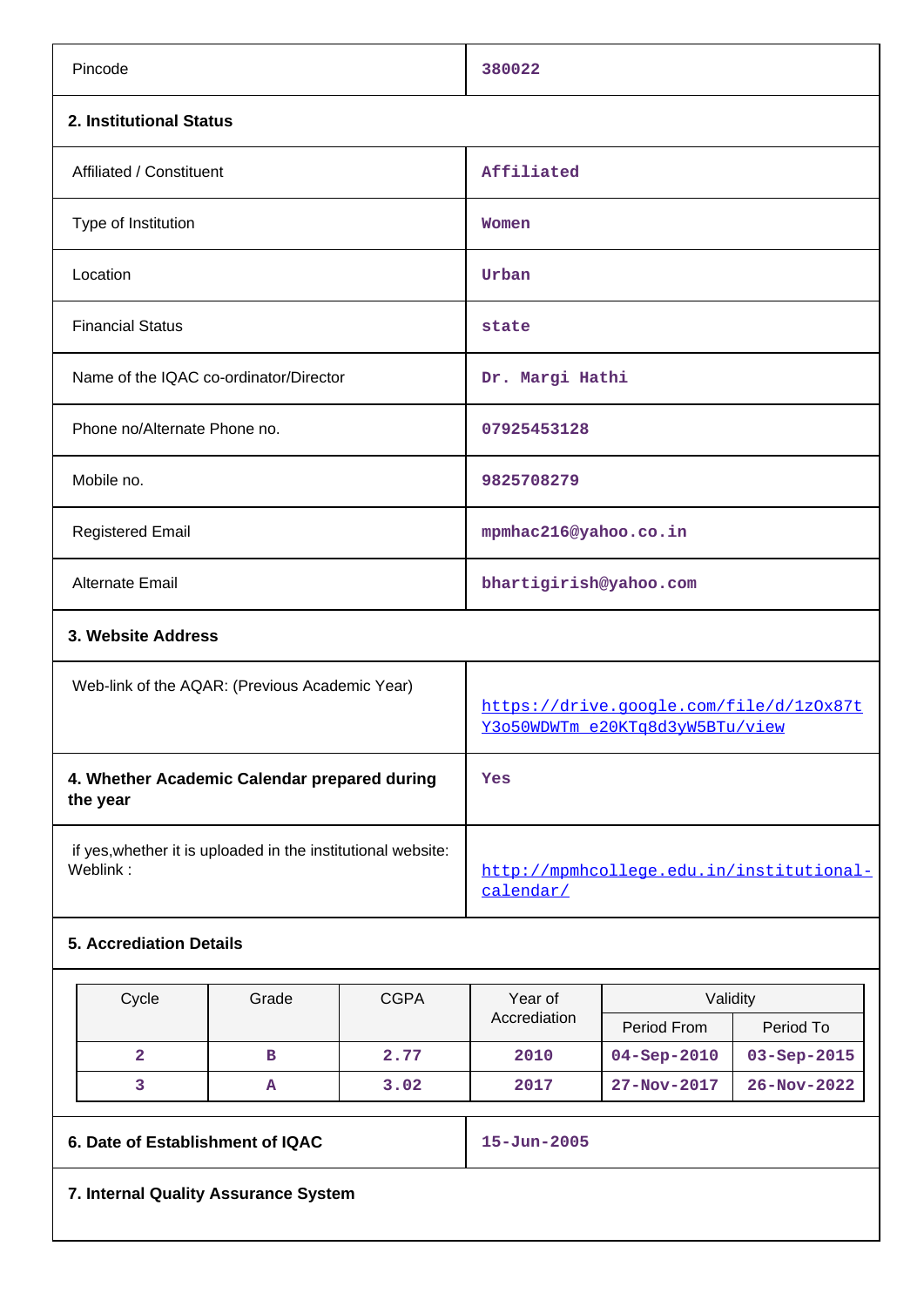| Pincode                                                                  | 380022                                                                     |  |  |  |  |
|--------------------------------------------------------------------------|----------------------------------------------------------------------------|--|--|--|--|
| 2. Institutional Status                                                  |                                                                            |  |  |  |  |
| Affiliated / Constituent                                                 | Affiliated                                                                 |  |  |  |  |
| Type of Institution                                                      | Women                                                                      |  |  |  |  |
| Location                                                                 | Urban                                                                      |  |  |  |  |
| <b>Financial Status</b>                                                  | state                                                                      |  |  |  |  |
| Name of the IQAC co-ordinator/Director                                   | Dr. Margi Hathi                                                            |  |  |  |  |
| Phone no/Alternate Phone no.                                             | 07925453128                                                                |  |  |  |  |
| Mobile no.                                                               | 9825708279                                                                 |  |  |  |  |
| <b>Registered Email</b>                                                  | mpmhac216@yahoo.co.in                                                      |  |  |  |  |
| Alternate Email                                                          | bhartigirish@yahoo.com                                                     |  |  |  |  |
| 3. Website Address                                                       |                                                                            |  |  |  |  |
| Web-link of the AQAR: (Previous Academic Year)                           | https://drive.google.com/file/d/1z0x87t<br>Y3o50WDWTm_e20KTq8d3yW5BTu/view |  |  |  |  |
| 4. Whether Academic Calendar prepared during<br>the year                 | Yes                                                                        |  |  |  |  |
| if yes, whether it is uploaded in the institutional website:<br>Weblink: | http://mpmhcollege.edu.in/institutional-<br>calendar/                      |  |  |  |  |
| 5. Accrediation Details                                                  |                                                                            |  |  |  |  |

| Cycle                            | Grade | <b>CGPA</b> | Year of           | Validity          |                   |  |  |  |
|----------------------------------|-------|-------------|-------------------|-------------------|-------------------|--|--|--|
|                                  |       |             | Accrediation      |                   | Period To         |  |  |  |
| 2                                | в     | 2.77        | 2010              | $04 - Sep - 2010$ | $03 - Sep - 2015$ |  |  |  |
|                                  | А     | 3.02        | 2017              | $27 - Nov - 2017$ | $26 - Nov - 2022$ |  |  |  |
| 6. Date of Establishment of IQAC |       |             | $15 - Jun - 2005$ |                   |                   |  |  |  |
| .                                |       |             |                   |                   |                   |  |  |  |

**7. Internal Quality Assurance System**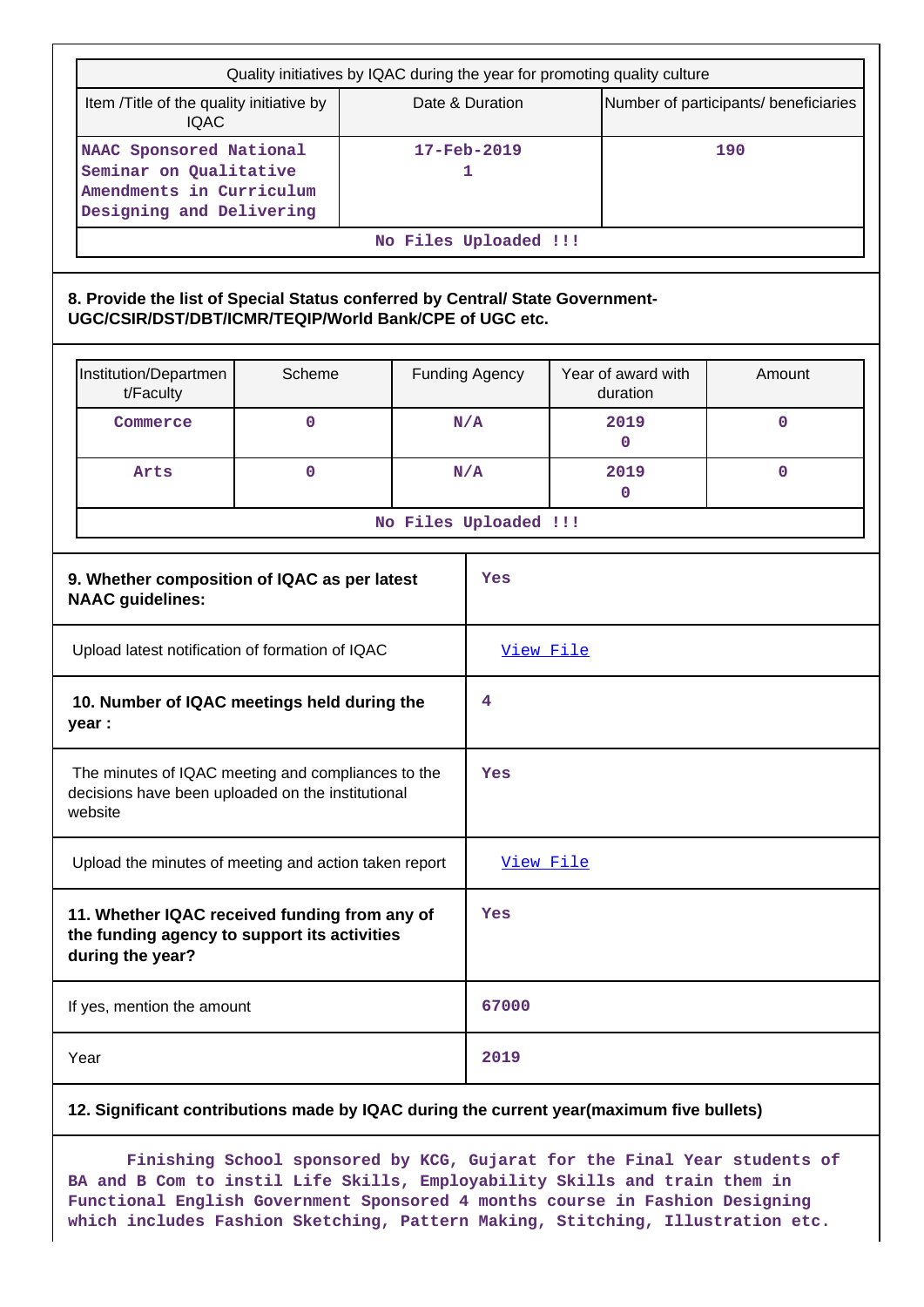|                                                                                                                   | Quality initiatives by IQAC during the year for promoting quality culture                                                               |             |  |                                      |                       |           |                                |                                       |  |
|-------------------------------------------------------------------------------------------------------------------|-----------------------------------------------------------------------------------------------------------------------------------------|-------------|--|--------------------------------------|-----------------------|-----------|--------------------------------|---------------------------------------|--|
|                                                                                                                   | Item /Title of the quality initiative by<br><b>IQAC</b>                                                                                 |             |  |                                      | Date & Duration       |           |                                | Number of participants/ beneficiaries |  |
|                                                                                                                   | NAAC Sponsored National<br>Seminar on Qualitative<br>Amendments in Curriculum<br>Designing and Delivering                               |             |  | $17 - \text{Feb} - 2019$<br>190<br>1 |                       |           |                                |                                       |  |
|                                                                                                                   |                                                                                                                                         |             |  |                                      | No Files Uploaded !!! |           |                                |                                       |  |
|                                                                                                                   | 8. Provide the list of Special Status conferred by Central/ State Government-<br>UGC/CSIR/DST/DBT/ICMR/TEQIP/World Bank/CPE of UGC etc. |             |  |                                      |                       |           |                                |                                       |  |
|                                                                                                                   | Institution/Departmen<br>t/Faculty                                                                                                      | Scheme      |  |                                      | <b>Funding Agency</b> |           | Year of award with<br>duration | Amount                                |  |
|                                                                                                                   | Commerce                                                                                                                                | $\mathbf 0$ |  |                                      | N/A                   |           | 2019<br>$\Omega$               | $\mathbf 0$                           |  |
|                                                                                                                   | Arts                                                                                                                                    | $\mathbf 0$ |  |                                      | N/A                   | 2019<br>0 |                                | $\mathbf{0}$                          |  |
|                                                                                                                   |                                                                                                                                         |             |  |                                      | No Files Uploaded !!! |           |                                |                                       |  |
|                                                                                                                   | 9. Whether composition of IQAC as per latest<br><b>NAAC</b> guidelines:                                                                 |             |  |                                      | Yes                   |           |                                |                                       |  |
|                                                                                                                   | Upload latest notification of formation of IQAC                                                                                         |             |  |                                      | View File             |           |                                |                                       |  |
|                                                                                                                   | 10. Number of IQAC meetings held during the<br>year :                                                                                   |             |  |                                      | 4                     |           |                                |                                       |  |
|                                                                                                                   | The minutes of IQAC meeting and compliances to the<br>decisions have been uploaded on the institutional<br>website                      |             |  |                                      | Yes                   |           |                                |                                       |  |
|                                                                                                                   | Upload the minutes of meeting and action taken report                                                                                   |             |  |                                      | View File             |           |                                |                                       |  |
| 11. Whether IQAC received funding from any of<br>the funding agency to support its activities<br>during the year? |                                                                                                                                         |             |  | Yes                                  |                       |           |                                |                                       |  |
| If yes, mention the amount                                                                                        |                                                                                                                                         |             |  | 67000                                |                       |           |                                |                                       |  |
|                                                                                                                   | Year                                                                                                                                    |             |  |                                      | 2019                  |           |                                |                                       |  |
|                                                                                                                   |                                                                                                                                         |             |  |                                      |                       |           |                                |                                       |  |

## **12. Significant contributions made by IQAC during the current year(maximum five bullets)**

 **Finishing School sponsored by KCG, Gujarat for the Final Year students of BA and B Com to instil Life Skills, Employability Skills and train them in Functional English Government Sponsored 4 months course in Fashion Designing which includes Fashion Sketching, Pattern Making, Stitching, Illustration etc.**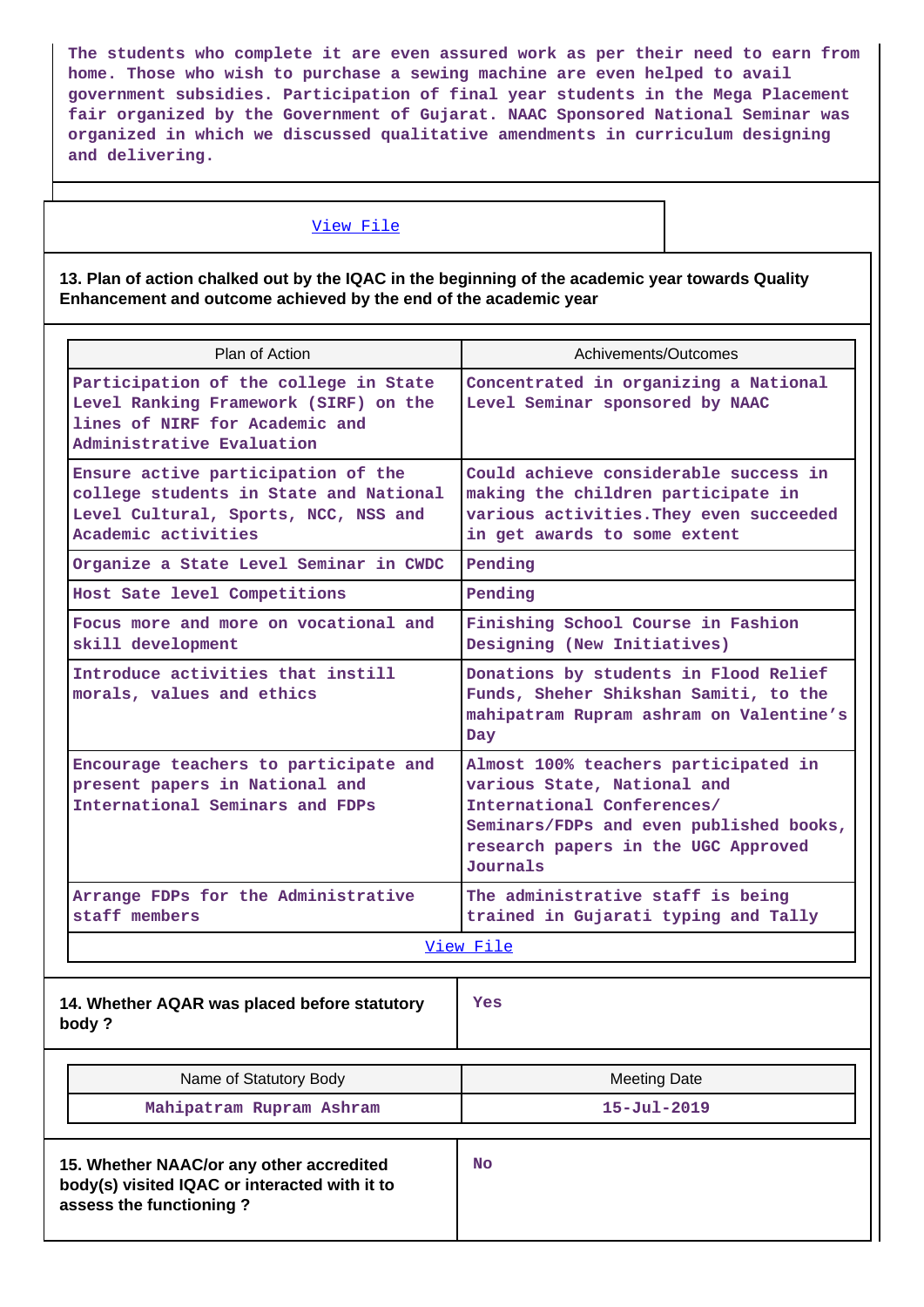**The students who complete it are even assured work as per their need to earn from home. Those who wish to purchase a sewing machine are even helped to avail government subsidies. Participation of final year students in the Mega Placement fair organized by the Government of Gujarat. NAAC Sponsored National Seminar was organized in which we discussed qualitative amendments in curriculum designing and delivering.**

### [View File](https://assessmentonline.naac.gov.in/public/Postacc/Contribution/940_Contribution.xlsx)

## **13. Plan of action chalked out by the IQAC in the beginning of the academic year towards Quality Enhancement and outcome achieved by the end of the academic year**

| Plan of Action                                                                                                                                | Achivements/Outcomes                                                                                                                                                                                                                                                                                                                |  |  |  |
|-----------------------------------------------------------------------------------------------------------------------------------------------|-------------------------------------------------------------------------------------------------------------------------------------------------------------------------------------------------------------------------------------------------------------------------------------------------------------------------------------|--|--|--|
| Participation of the college in State<br>Level Ranking Framework (SIRF) on the<br>lines of NIRF for Academic and<br>Administrative Evaluation | Concentrated in organizing a National<br>Level Seminar sponsored by NAAC                                                                                                                                                                                                                                                            |  |  |  |
| Ensure active participation of the<br>college students in State and National<br>Level Cultural, Sports, NCC, NSS and<br>Academic activities   | Could achieve considerable success in<br>making the children participate in<br>various activities. They even succeeded<br>in get awards to some extent                                                                                                                                                                              |  |  |  |
| Organize a State Level Seminar in CWDC                                                                                                        | Pending                                                                                                                                                                                                                                                                                                                             |  |  |  |
| Host Sate level Competitions                                                                                                                  | Pending                                                                                                                                                                                                                                                                                                                             |  |  |  |
| Focus more and more on vocational and<br>skill development                                                                                    | Finishing School Course in Fashion<br>Designing (New Initiatives)                                                                                                                                                                                                                                                                   |  |  |  |
| Introduce activities that instill<br>morals, values and ethics                                                                                | Donations by students in Flood Relief<br>Funds, Sheher Shikshan Samiti, to the<br>mahipatram Rupram ashram on Valentine's<br>Day<br>Almost 100% teachers participated in<br>various State, National and<br>International Conferences/<br>Seminars/FDPs and even published books,<br>research papers in the UGC Approved<br>Journals |  |  |  |
| Encourage teachers to participate and<br>present papers in National and<br>International Seminars and FDPs                                    |                                                                                                                                                                                                                                                                                                                                     |  |  |  |
| Arrange FDPs for the Administrative<br>staff members                                                                                          | The administrative staff is being<br>trained in Gujarati typing and Tally                                                                                                                                                                                                                                                           |  |  |  |
|                                                                                                                                               | View File                                                                                                                                                                                                                                                                                                                           |  |  |  |
| 14. Whether AQAR was placed before statutory<br>body?                                                                                         | <b>Yes</b>                                                                                                                                                                                                                                                                                                                          |  |  |  |
| Name of Statutory Body                                                                                                                        | <b>Meeting Date</b>                                                                                                                                                                                                                                                                                                                 |  |  |  |
| Mahipatram Rupram Ashram                                                                                                                      | $15 - Jul - 2019$                                                                                                                                                                                                                                                                                                                   |  |  |  |
| 15. Whether NAAC/or any other accredited<br>body(s) visited IQAC or interacted with it to<br>assess the functioning?                          | No                                                                                                                                                                                                                                                                                                                                  |  |  |  |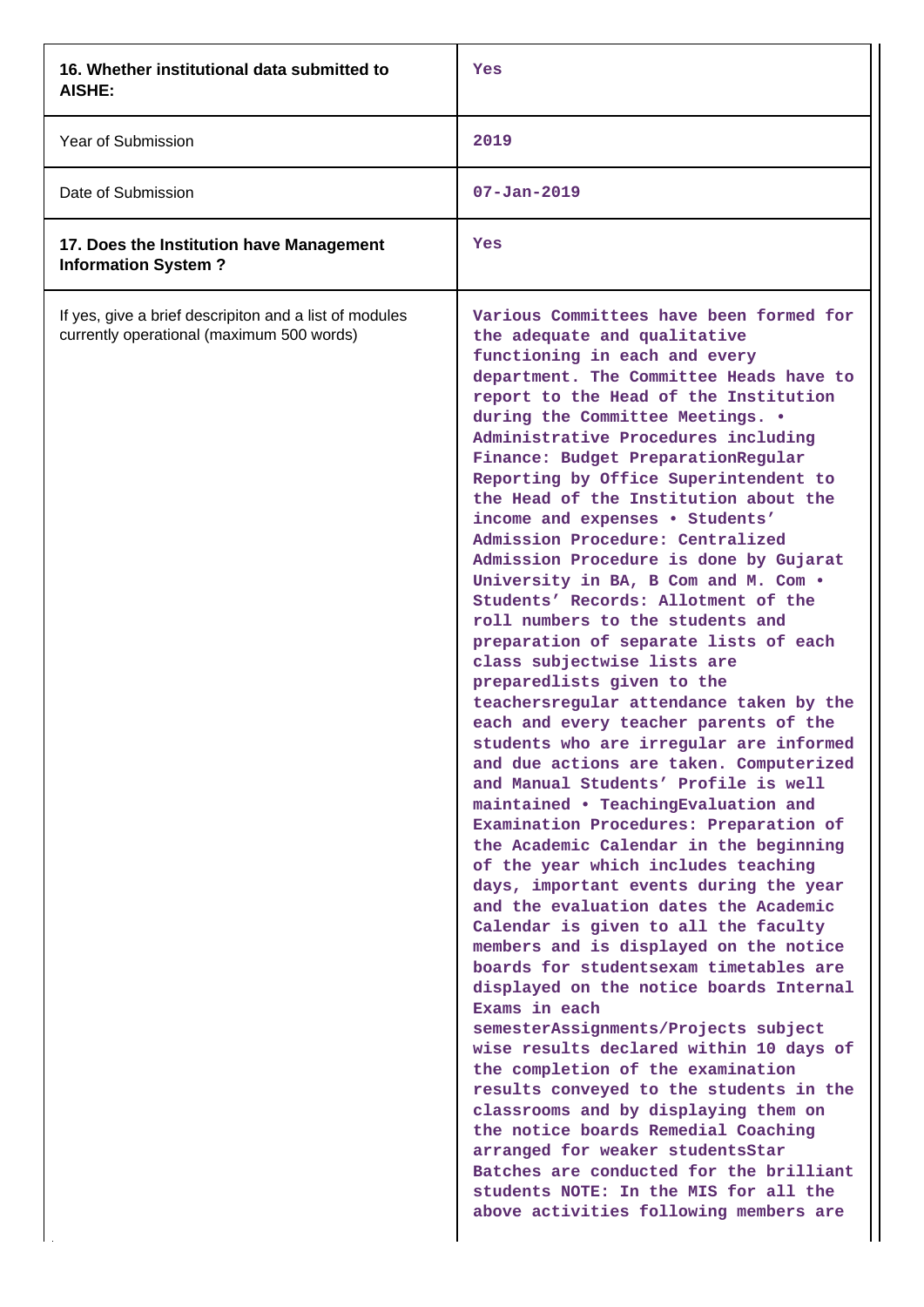| 16. Whether institutional data submitted to<br>AISHE:                                               | Yes                                                                                                                                                                                                                                                                                                                                                                                                                                                                                                                                                                                                                                                                                                                                                                                                                                                                                                                                                                                                                                                                                                                                                                                                                                                                                                                                                                                                                                                                                                                                                                                                                                                                                                                                                                                                                          |
|-----------------------------------------------------------------------------------------------------|------------------------------------------------------------------------------------------------------------------------------------------------------------------------------------------------------------------------------------------------------------------------------------------------------------------------------------------------------------------------------------------------------------------------------------------------------------------------------------------------------------------------------------------------------------------------------------------------------------------------------------------------------------------------------------------------------------------------------------------------------------------------------------------------------------------------------------------------------------------------------------------------------------------------------------------------------------------------------------------------------------------------------------------------------------------------------------------------------------------------------------------------------------------------------------------------------------------------------------------------------------------------------------------------------------------------------------------------------------------------------------------------------------------------------------------------------------------------------------------------------------------------------------------------------------------------------------------------------------------------------------------------------------------------------------------------------------------------------------------------------------------------------------------------------------------------------|
| Year of Submission                                                                                  | 2019                                                                                                                                                                                                                                                                                                                                                                                                                                                                                                                                                                                                                                                                                                                                                                                                                                                                                                                                                                                                                                                                                                                                                                                                                                                                                                                                                                                                                                                                                                                                                                                                                                                                                                                                                                                                                         |
| Date of Submission                                                                                  | $07 - Jan - 2019$                                                                                                                                                                                                                                                                                                                                                                                                                                                                                                                                                                                                                                                                                                                                                                                                                                                                                                                                                                                                                                                                                                                                                                                                                                                                                                                                                                                                                                                                                                                                                                                                                                                                                                                                                                                                            |
| 17. Does the Institution have Management<br><b>Information System?</b>                              | Yes                                                                                                                                                                                                                                                                                                                                                                                                                                                                                                                                                                                                                                                                                                                                                                                                                                                                                                                                                                                                                                                                                                                                                                                                                                                                                                                                                                                                                                                                                                                                                                                                                                                                                                                                                                                                                          |
| If yes, give a brief descripiton and a list of modules<br>currently operational (maximum 500 words) | Various Committees have been formed for<br>the adequate and qualitative<br>functioning in each and every<br>department. The Committee Heads have to<br>report to the Head of the Institution<br>during the Committee Meetings. .<br>Administrative Procedures including<br>Finance: Budget PreparationRegular<br>Reporting by Office Superintendent to<br>the Head of the Institution about the<br>income and expenses . Students'<br>Admission Procedure: Centralized<br>Admission Procedure is done by Gujarat<br>University in BA, B Com and M. Com .<br>Students' Records: Allotment of the<br>roll numbers to the students and<br>preparation of separate lists of each<br>class subjectwise lists are<br>preparedlists given to the<br>teachersregular attendance taken by the<br>each and every teacher parents of the<br>students who are irregular are informed<br>and due actions are taken. Computerized<br>and Manual Students' Profile is well<br>maintained . TeachingEvaluation and<br>Examination Procedures: Preparation of<br>the Academic Calendar in the beginning<br>of the year which includes teaching<br>days, important events during the year<br>and the evaluation dates the Academic<br>Calendar is given to all the faculty<br>members and is displayed on the notice<br>boards for studentsexam timetables are<br>displayed on the notice boards Internal<br>Exams in each<br>semesterAssignments/Projects subject<br>wise results declared within 10 days of<br>the completion of the examination<br>results conveyed to the students in the<br>classrooms and by displaying them on<br>the notice boards Remedial Coaching<br>arranged for weaker studentsStar<br>Batches are conducted for the brilliant<br>students NOTE: In the MIS for all the<br>above activities following members are |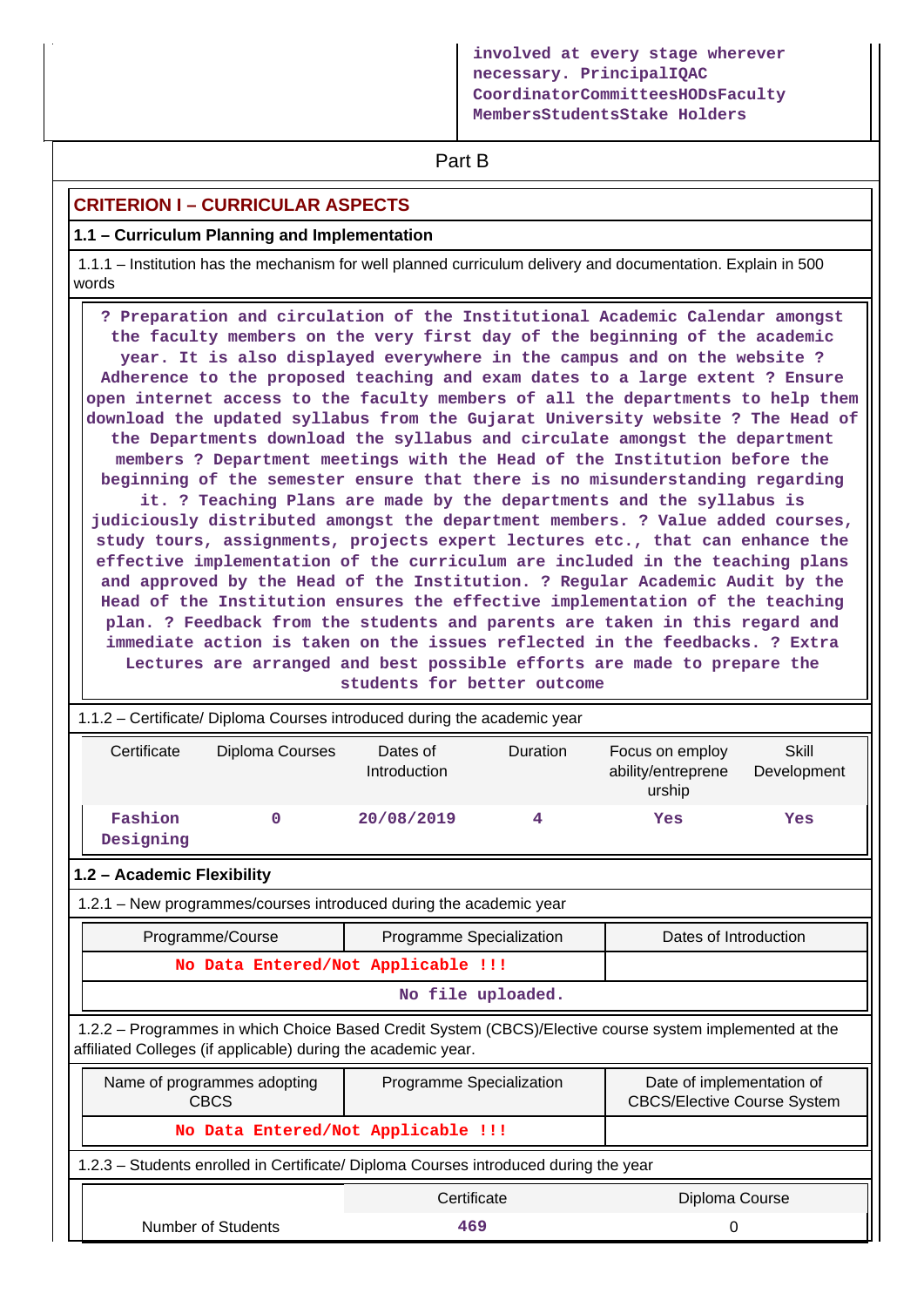**involved at every stage wherever necessary. PrincipalIQAC CoordinatorCommitteesHODsFaculty MembersStudentsStake Holders**

# **Part B**

# **CRITERION I – CURRICULAR ASPECTS**

## **1.1 – Curriculum Planning and Implementation**

 1.1.1 – Institution has the mechanism for well planned curriculum delivery and documentation. Explain in 500 words

 **? Preparation and circulation of the Institutional Academic Calendar amongst the faculty members on the very first day of the beginning of the academic year. It is also displayed everywhere in the campus and on the website ? Adherence to the proposed teaching and exam dates to a large extent ? Ensure open internet access to the faculty members of all the departments to help them download the updated syllabus from the Gujarat University website ? The Head of the Departments download the syllabus and circulate amongst the department members ? Department meetings with the Head of the Institution before the beginning of the semester ensure that there is no misunderstanding regarding**

**it. ? Teaching Plans are made by the departments and the syllabus is judiciously distributed amongst the department members. ? Value added courses, study tours, assignments, projects expert lectures etc., that can enhance the effective implementation of the curriculum are included in the teaching plans and approved by the Head of the Institution. ? Regular Academic Audit by the Head of the Institution ensures the effective implementation of the teaching plan. ? Feedback from the students and parents are taken in this regard and immediate action is taken on the issues reflected in the feedbacks. ? Extra Lectures are arranged and best possible efforts are made to prepare the students for better outcome**

| 1.1.2 - Certificate/ Diploma Courses introduced during the academic year             |                                                                                                                                           |                          |                   |                                                                                                         |                             |  |  |  |
|--------------------------------------------------------------------------------------|-------------------------------------------------------------------------------------------------------------------------------------------|--------------------------|-------------------|---------------------------------------------------------------------------------------------------------|-----------------------------|--|--|--|
| Certificate                                                                          | Diploma Courses                                                                                                                           | Dates of<br>Introduction | Duration          | Focus on employ<br>ability/entreprene<br>urship                                                         | <b>Skill</b><br>Development |  |  |  |
| Fashion<br>Designing                                                                 | $\mathbf 0$                                                                                                                               | 20/08/2019               | 4                 | Yes                                                                                                     | Yes                         |  |  |  |
| 1.2 - Academic Flexibility                                                           |                                                                                                                                           |                          |                   |                                                                                                         |                             |  |  |  |
| 1.2.1 - New programmes/courses introduced during the academic year                   |                                                                                                                                           |                          |                   |                                                                                                         |                             |  |  |  |
| Programme/Course                                                                     |                                                                                                                                           | Programme Specialization |                   | Dates of Introduction                                                                                   |                             |  |  |  |
|                                                                                      | No Data Entered/Not Applicable !!!                                                                                                        |                          |                   |                                                                                                         |                             |  |  |  |
|                                                                                      |                                                                                                                                           |                          | No file uploaded. |                                                                                                         |                             |  |  |  |
| affiliated Colleges (if applicable) during the academic year.                        |                                                                                                                                           |                          |                   | 1.2.2 - Programmes in which Choice Based Credit System (CBCS)/Elective course system implemented at the |                             |  |  |  |
|                                                                                      | Name of programmes adopting<br>Programme Specialization<br>Date of implementation of<br><b>CBCS</b><br><b>CBCS/Elective Course System</b> |                          |                   |                                                                                                         |                             |  |  |  |
|                                                                                      | No Data Entered/Not Applicable !!!                                                                                                        |                          |                   |                                                                                                         |                             |  |  |  |
| 1.2.3 – Students enrolled in Certificate/ Diploma Courses introduced during the year |                                                                                                                                           |                          |                   |                                                                                                         |                             |  |  |  |
|                                                                                      |                                                                                                                                           | Certificate              |                   | Diploma Course                                                                                          |                             |  |  |  |
|                                                                                      | Number of Students<br>469<br>0                                                                                                            |                          |                   |                                                                                                         |                             |  |  |  |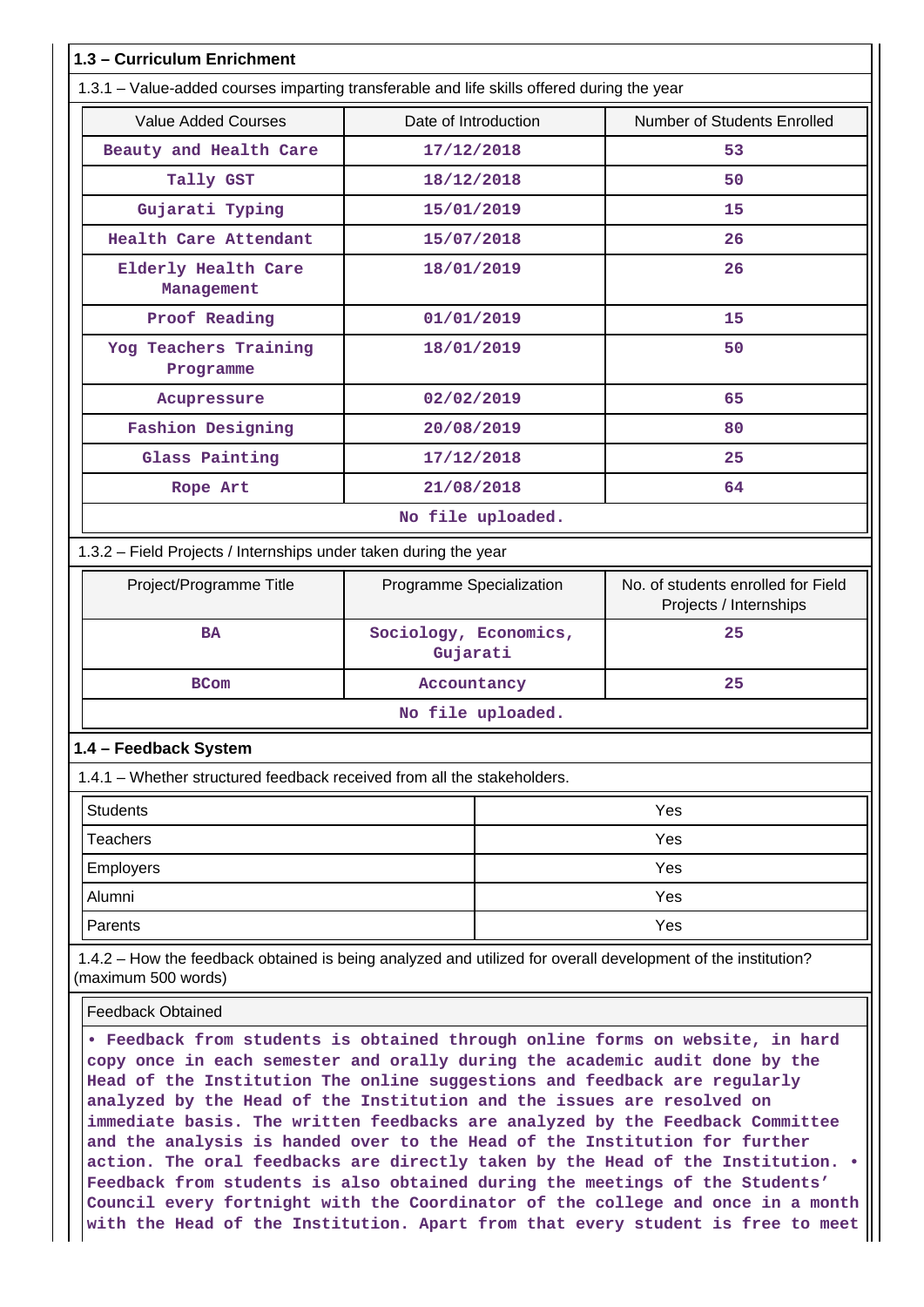|                                                                                                                                                                                                                                                                                                                                                                                                                                                                                    | 1.3 - Curriculum Enrichment       |                                                              |  |  |  |  |  |
|------------------------------------------------------------------------------------------------------------------------------------------------------------------------------------------------------------------------------------------------------------------------------------------------------------------------------------------------------------------------------------------------------------------------------------------------------------------------------------|-----------------------------------|--------------------------------------------------------------|--|--|--|--|--|
| 1.3.1 – Value-added courses imparting transferable and life skills offered during the year                                                                                                                                                                                                                                                                                                                                                                                         |                                   |                                                              |  |  |  |  |  |
| <b>Value Added Courses</b>                                                                                                                                                                                                                                                                                                                                                                                                                                                         | Date of Introduction              | Number of Students Enrolled                                  |  |  |  |  |  |
| Beauty and Health Care                                                                                                                                                                                                                                                                                                                                                                                                                                                             | 17/12/2018                        | 53                                                           |  |  |  |  |  |
| Tally GST                                                                                                                                                                                                                                                                                                                                                                                                                                                                          | 18/12/2018                        | 50                                                           |  |  |  |  |  |
| Gujarati Typing                                                                                                                                                                                                                                                                                                                                                                                                                                                                    | 15/01/2019                        | 15                                                           |  |  |  |  |  |
| Health Care Attendant                                                                                                                                                                                                                                                                                                                                                                                                                                                              | 15/07/2018                        | 26                                                           |  |  |  |  |  |
| Elderly Health Care<br>Management                                                                                                                                                                                                                                                                                                                                                                                                                                                  | 18/01/2019                        | 26                                                           |  |  |  |  |  |
| Proof Reading                                                                                                                                                                                                                                                                                                                                                                                                                                                                      | 01/01/2019                        | 15                                                           |  |  |  |  |  |
| Yog Teachers Training<br>Programme                                                                                                                                                                                                                                                                                                                                                                                                                                                 | 18/01/2019                        | 50                                                           |  |  |  |  |  |
| Acupressure                                                                                                                                                                                                                                                                                                                                                                                                                                                                        | 02/02/2019                        | 65                                                           |  |  |  |  |  |
| <b>Fashion Designing</b>                                                                                                                                                                                                                                                                                                                                                                                                                                                           | 20/08/2019                        | 80                                                           |  |  |  |  |  |
| Glass Painting                                                                                                                                                                                                                                                                                                                                                                                                                                                                     | 17/12/2018                        | 25                                                           |  |  |  |  |  |
| Rope Art                                                                                                                                                                                                                                                                                                                                                                                                                                                                           | 21/08/2018                        | 64                                                           |  |  |  |  |  |
|                                                                                                                                                                                                                                                                                                                                                                                                                                                                                    | No file uploaded.                 |                                                              |  |  |  |  |  |
| 1.3.2 - Field Projects / Internships under taken during the year                                                                                                                                                                                                                                                                                                                                                                                                                   |                                   |                                                              |  |  |  |  |  |
| Project/Programme Title                                                                                                                                                                                                                                                                                                                                                                                                                                                            | Programme Specialization          | No. of students enrolled for Field<br>Projects / Internships |  |  |  |  |  |
| <b>BA</b>                                                                                                                                                                                                                                                                                                                                                                                                                                                                          | Sociology, Economics,<br>Gujarati | 25                                                           |  |  |  |  |  |
| <b>BCom</b>                                                                                                                                                                                                                                                                                                                                                                                                                                                                        | Accountancy                       | 25                                                           |  |  |  |  |  |
|                                                                                                                                                                                                                                                                                                                                                                                                                                                                                    | No file uploaded.                 |                                                              |  |  |  |  |  |
| 1.4 - Feedback System                                                                                                                                                                                                                                                                                                                                                                                                                                                              |                                   |                                                              |  |  |  |  |  |
| 1.4.1 – Whether structured feedback received from all the stakeholders.                                                                                                                                                                                                                                                                                                                                                                                                            |                                   |                                                              |  |  |  |  |  |
| <b>Students</b>                                                                                                                                                                                                                                                                                                                                                                                                                                                                    |                                   | Yes                                                          |  |  |  |  |  |
| <b>Teachers</b>                                                                                                                                                                                                                                                                                                                                                                                                                                                                    |                                   | Yes                                                          |  |  |  |  |  |
| <b>Employers</b>                                                                                                                                                                                                                                                                                                                                                                                                                                                                   |                                   | Yes                                                          |  |  |  |  |  |
| Alumni                                                                                                                                                                                                                                                                                                                                                                                                                                                                             |                                   | Yes                                                          |  |  |  |  |  |
| Parents                                                                                                                                                                                                                                                                                                                                                                                                                                                                            |                                   | Yes                                                          |  |  |  |  |  |
| 1.4.2 - How the feedback obtained is being analyzed and utilized for overall development of the institution?<br>(maximum 500 words)                                                                                                                                                                                                                                                                                                                                                |                                   |                                                              |  |  |  |  |  |
| <b>Feedback Obtained</b>                                                                                                                                                                                                                                                                                                                                                                                                                                                           |                                   |                                                              |  |  |  |  |  |
| . Feedback from students is obtained through online forms on website, in hard<br>copy once in each semester and orally during the academic audit done by the<br>Head of the Institution The online suggestions and feedback are regularly<br>analyzed by the Head of the Institution and the issues are resolved on<br>immediate basis. The written feedbacks are analyzed by the Feedback Committee<br>and the analysis is handed over to the Head of the Institution for further |                                   |                                                              |  |  |  |  |  |

**action. The oral feedbacks are directly taken by the Head of the Institution. • Feedback from students is also obtained during the meetings of the Students' Council every fortnight with the Coordinator of the college and once in a month with the Head of the Institution. Apart from that every student is free to meet**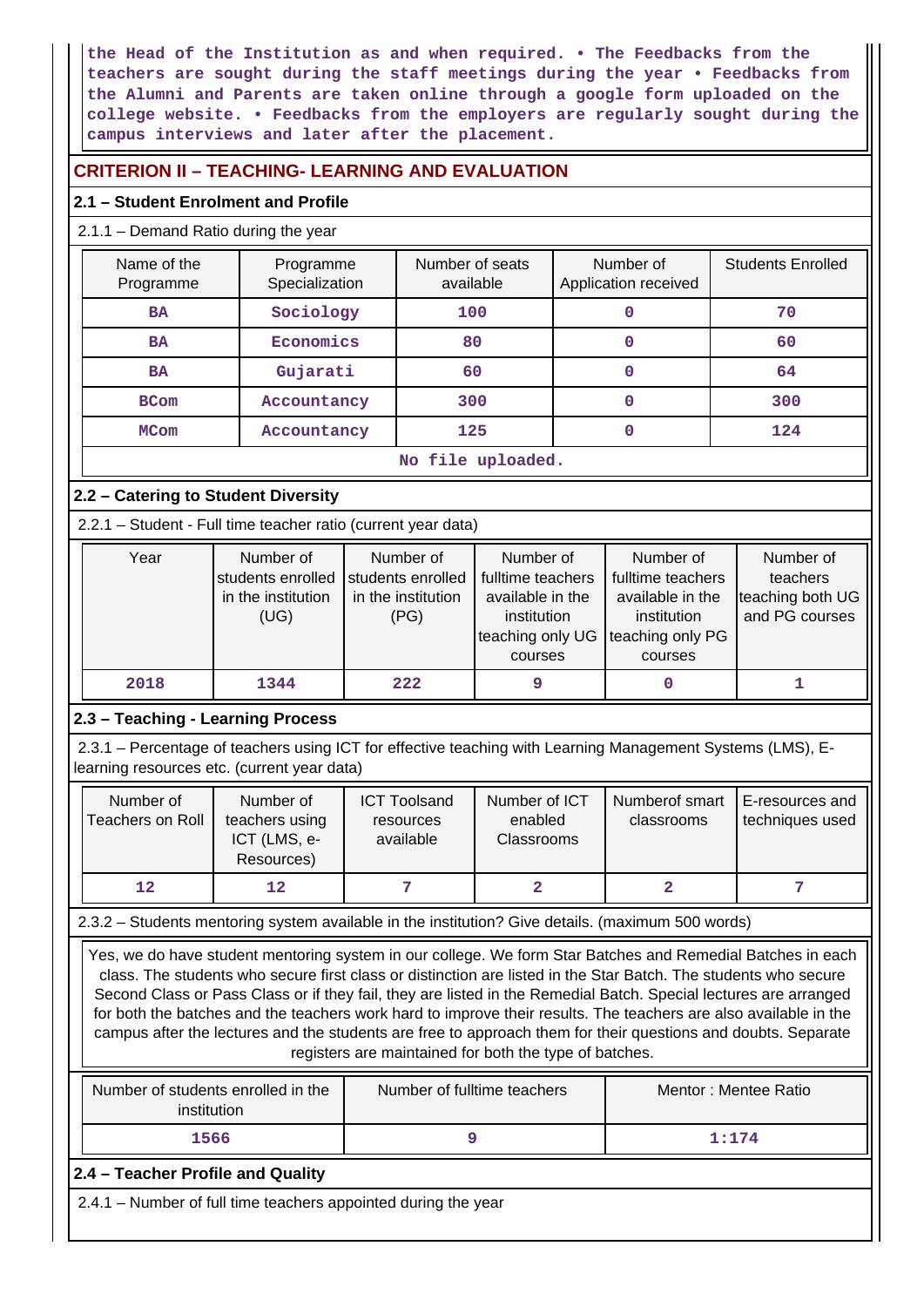**the Head of the Institution as and when required. • The Feedbacks from the teachers are sought during the staff meetings during the year • Feedbacks from the Alumni and Parents are taken online through a google form uploaded on the college website. • Feedbacks from the employers are regularly sought during the campus interviews and later after the placement.**

# **CRITERION II – TEACHING- LEARNING AND EVALUATION**

# **2.1 – Student Enrolment and Profile**

## 2.1.1 – Demand Ratio during the year

| Name of the<br>Programme   | Programme<br>Specialization | Number of seats<br>available | Number of<br>Application received | <b>Students Enrolled</b> |  |  |  |
|----------------------------|-----------------------------|------------------------------|-----------------------------------|--------------------------|--|--|--|
| <b>BA</b>                  | Sociology                   | 100                          |                                   | 70                       |  |  |  |
| <b>BA</b>                  | Economics                   |                              | 0                                 | 60                       |  |  |  |
| <b>BA</b>                  | Gujarati                    | 60                           | 0                                 | 64                       |  |  |  |
| <b>BCom</b>                | Accountancy                 |                              | 0                                 | 300                      |  |  |  |
| <b>MCom</b><br>Accountancy |                             | 125                          | 0                                 | 124                      |  |  |  |
| No file uploaded.          |                             |                              |                                   |                          |  |  |  |

# **2.2 – Catering to Student Diversity**

2.2.1 – Student - Full time teacher ratio (current year data)

| Year | Number of          | Number of          | Number of                              | Number of        | Number of        |
|------|--------------------|--------------------|----------------------------------------|------------------|------------------|
|      | students enrolled  | students enrolled  | fulltime teachers<br>fulltime teachers |                  | teachers         |
|      | in the institution | in the institution | available in the                       | available in the | teaching both UG |
|      | (UG)               | (PG)               | institution<br>institution             |                  | and PG courses   |
|      |                    |                    | teaching only UG Iteaching only PG     |                  |                  |
|      |                    |                    | courses                                | courses          |                  |
| 2018 | 1344               | 222                |                                        |                  |                  |

## **2.3 – Teaching - Learning Process**

 2.3.1 – Percentage of teachers using ICT for effective teaching with Learning Management Systems (LMS), Elearning resources etc. (current year data)

| Number of<br><b>Teachers on Roll</b>                                                                                                                                                                                                                                                                                                                                                                                                                                                                                                                                                                                                             | Number of<br>teachers using<br>ICT (LMS, e-<br>Resources)                                         | Number of ICT<br><b>ICT Toolsand</b><br>enabled<br>resources<br>available<br><b>Classrooms</b> |                | Numberof smart<br>classrooms | E-resources and<br>techniques used |  |
|--------------------------------------------------------------------------------------------------------------------------------------------------------------------------------------------------------------------------------------------------------------------------------------------------------------------------------------------------------------------------------------------------------------------------------------------------------------------------------------------------------------------------------------------------------------------------------------------------------------------------------------------------|---------------------------------------------------------------------------------------------------|------------------------------------------------------------------------------------------------|----------------|------------------------------|------------------------------------|--|
| $12 \overline{ }$                                                                                                                                                                                                                                                                                                                                                                                                                                                                                                                                                                                                                                | 12                                                                                                | 7                                                                                              | $\overline{2}$ | $\overline{2}$               | 7                                  |  |
|                                                                                                                                                                                                                                                                                                                                                                                                                                                                                                                                                                                                                                                  | 2.3.2 - Students mentoring system available in the institution? Give details. (maximum 500 words) |                                                                                                |                |                              |                                    |  |
| Yes, we do have student mentoring system in our college. We form Star Batches and Remedial Batches in each<br>class. The students who secure first class or distinction are listed in the Star Batch. The students who secure<br>Second Class or Pass Class or if they fail, they are listed in the Remedial Batch. Special lectures are arranged<br>for both the batches and the teachers work hard to improve their results. The teachers are also available in the<br>campus after the lectures and the students are free to approach them for their questions and doubts. Separate<br>registers are maintained for both the type of batches. |                                                                                                   |                                                                                                |                |                              |                                    |  |
| Number of students enrolled in the<br>Number of fulltime teachers<br>Mentor: Mentee Ratio<br>institution                                                                                                                                                                                                                                                                                                                                                                                                                                                                                                                                         |                                                                                                   |                                                                                                |                |                              |                                    |  |
| 9<br>1566<br>1:174                                                                                                                                                                                                                                                                                                                                                                                                                                                                                                                                                                                                                               |                                                                                                   |                                                                                                |                |                              |                                    |  |
| 2.4 – Teacher Profile and Quality                                                                                                                                                                                                                                                                                                                                                                                                                                                                                                                                                                                                                |                                                                                                   |                                                                                                |                |                              |                                    |  |
| 2.4.1 – Number of full time teachers appointed during the year                                                                                                                                                                                                                                                                                                                                                                                                                                                                                                                                                                                   |                                                                                                   |                                                                                                |                |                              |                                    |  |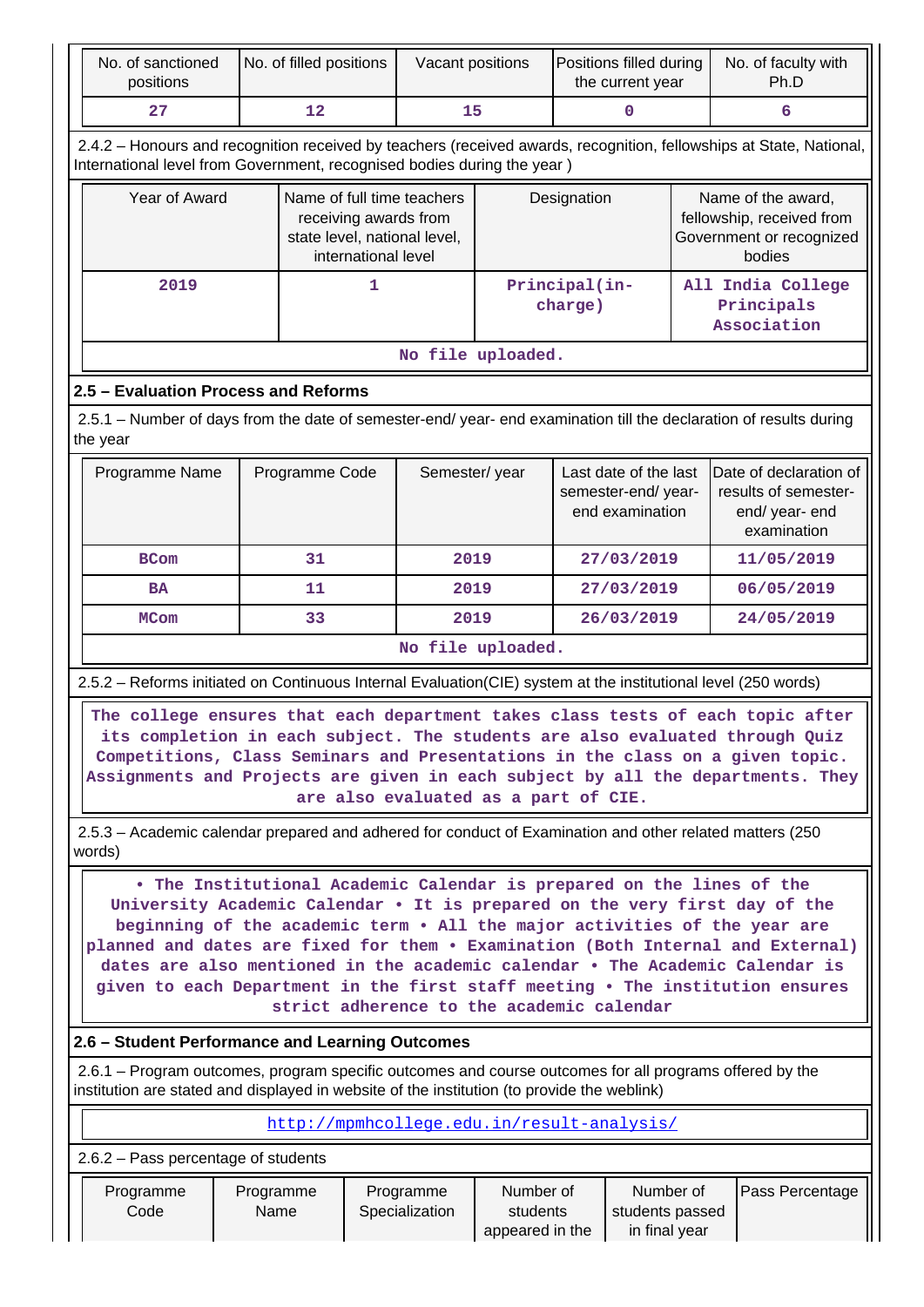|                                                                                                                                                                                                                                                                                                                                                                                                                                                                                                                                   | No. of sanctioned<br>positions                                                                                                                                                                         |  | No. of filled positions |                                                                                 | Vacant positions                     |                   | Positions filled during<br>the current year |            |                                                                                       | No. of faculty with<br>Ph.D                                                                                                                                                                                                                                                                                                        |
|-----------------------------------------------------------------------------------------------------------------------------------------------------------------------------------------------------------------------------------------------------------------------------------------------------------------------------------------------------------------------------------------------------------------------------------------------------------------------------------------------------------------------------------|--------------------------------------------------------------------------------------------------------------------------------------------------------------------------------------------------------|--|-------------------------|---------------------------------------------------------------------------------|--------------------------------------|-------------------|---------------------------------------------|------------|---------------------------------------------------------------------------------------|------------------------------------------------------------------------------------------------------------------------------------------------------------------------------------------------------------------------------------------------------------------------------------------------------------------------------------|
|                                                                                                                                                                                                                                                                                                                                                                                                                                                                                                                                   | 27                                                                                                                                                                                                     |  | 12                      | 15                                                                              |                                      | $\mathbf{0}$      |                                             |            | 6                                                                                     |                                                                                                                                                                                                                                                                                                                                    |
|                                                                                                                                                                                                                                                                                                                                                                                                                                                                                                                                   | International level from Government, recognised bodies during the year)                                                                                                                                |  |                         |                                                                                 |                                      |                   |                                             |            |                                                                                       | 2.4.2 - Honours and recognition received by teachers (received awards, recognition, fellowships at State, National,                                                                                                                                                                                                                |
|                                                                                                                                                                                                                                                                                                                                                                                                                                                                                                                                   | Year of Award<br>Name of full time teachers<br>receiving awards from<br>state level, national level,<br>international level                                                                            |  |                         |                                                                                 |                                      |                   | Designation                                 |            | Name of the award,<br>fellowship, received from<br>Government or recognized<br>bodies |                                                                                                                                                                                                                                                                                                                                    |
|                                                                                                                                                                                                                                                                                                                                                                                                                                                                                                                                   | 2019                                                                                                                                                                                                   |  |                         | 1                                                                               |                                      |                   | Principal(in-<br>charge)                    |            |                                                                                       | All India College<br>Principals<br>Association                                                                                                                                                                                                                                                                                     |
|                                                                                                                                                                                                                                                                                                                                                                                                                                                                                                                                   |                                                                                                                                                                                                        |  |                         |                                                                                 |                                      | No file uploaded. |                                             |            |                                                                                       |                                                                                                                                                                                                                                                                                                                                    |
|                                                                                                                                                                                                                                                                                                                                                                                                                                                                                                                                   | 2.5 - Evaluation Process and Reforms                                                                                                                                                                   |  |                         |                                                                                 |                                      |                   |                                             |            |                                                                                       |                                                                                                                                                                                                                                                                                                                                    |
| the year                                                                                                                                                                                                                                                                                                                                                                                                                                                                                                                          |                                                                                                                                                                                                        |  |                         |                                                                                 |                                      |                   |                                             |            |                                                                                       | 2.5.1 – Number of days from the date of semester-end/ year- end examination till the declaration of results during                                                                                                                                                                                                                 |
| Programme Name<br>Programme Code<br>Semester/year<br>Last date of the last<br>semester-end/year-<br>end examination                                                                                                                                                                                                                                                                                                                                                                                                               |                                                                                                                                                                                                        |  |                         | Date of declaration of<br>results of semester-<br>end/ year- end<br>examination |                                      |                   |                                             |            |                                                                                       |                                                                                                                                                                                                                                                                                                                                    |
|                                                                                                                                                                                                                                                                                                                                                                                                                                                                                                                                   | <b>BCom</b>                                                                                                                                                                                            |  | 31                      |                                                                                 | 2019                                 |                   |                                             | 27/03/2019 |                                                                                       | 11/05/2019                                                                                                                                                                                                                                                                                                                         |
|                                                                                                                                                                                                                                                                                                                                                                                                                                                                                                                                   | <b>BA</b>                                                                                                                                                                                              |  | 11                      |                                                                                 | 2019                                 |                   |                                             | 27/03/2019 | 06/05/2019                                                                            |                                                                                                                                                                                                                                                                                                                                    |
|                                                                                                                                                                                                                                                                                                                                                                                                                                                                                                                                   | <b>MCom</b>                                                                                                                                                                                            |  | 33                      |                                                                                 | 2019                                 |                   |                                             | 26/03/2019 | 24/05/2019                                                                            |                                                                                                                                                                                                                                                                                                                                    |
|                                                                                                                                                                                                                                                                                                                                                                                                                                                                                                                                   |                                                                                                                                                                                                        |  |                         |                                                                                 |                                      | No file uploaded. |                                             |            |                                                                                       |                                                                                                                                                                                                                                                                                                                                    |
|                                                                                                                                                                                                                                                                                                                                                                                                                                                                                                                                   |                                                                                                                                                                                                        |  |                         |                                                                                 |                                      |                   |                                             |            |                                                                                       | 2.5.2 - Reforms initiated on Continuous Internal Evaluation(CIE) system at the institutional level (250 words)                                                                                                                                                                                                                     |
|                                                                                                                                                                                                                                                                                                                                                                                                                                                                                                                                   |                                                                                                                                                                                                        |  |                         |                                                                                 | are also evaluated as a part of CIE. |                   |                                             |            |                                                                                       | The college ensures that each department takes class tests of each topic after<br>its completion in each subject. The students are also evaluated through Quiz<br>Competitions, Class Seminars and Presentations in the class on a given topic.<br>Assignments and Projects are given in each subject by all the departments. They |
| words)                                                                                                                                                                                                                                                                                                                                                                                                                                                                                                                            |                                                                                                                                                                                                        |  |                         |                                                                                 |                                      |                   |                                             |            |                                                                                       | 2.5.3 – Academic calendar prepared and adhered for conduct of Examination and other related matters (250)                                                                                                                                                                                                                          |
| . The Institutional Academic Calendar is prepared on the lines of the<br>University Academic Calendar . It is prepared on the very first day of the<br>beginning of the academic term . All the major activities of the year are<br>planned and dates are fixed for them . Examination (Both Internal and External)<br>dates are also mentioned in the academic calendar . The Academic Calendar is<br>given to each Department in the first staff meeting . The institution ensures<br>strict adherence to the academic calendar |                                                                                                                                                                                                        |  |                         |                                                                                 |                                      |                   |                                             |            |                                                                                       |                                                                                                                                                                                                                                                                                                                                    |
|                                                                                                                                                                                                                                                                                                                                                                                                                                                                                                                                   | 2.6 – Student Performance and Learning Outcomes                                                                                                                                                        |  |                         |                                                                                 |                                      |                   |                                             |            |                                                                                       |                                                                                                                                                                                                                                                                                                                                    |
|                                                                                                                                                                                                                                                                                                                                                                                                                                                                                                                                   | 2.6.1 – Program outcomes, program specific outcomes and course outcomes for all programs offered by the<br>institution are stated and displayed in website of the institution (to provide the weblink) |  |                         |                                                                                 |                                      |                   |                                             |            |                                                                                       |                                                                                                                                                                                                                                                                                                                                    |
|                                                                                                                                                                                                                                                                                                                                                                                                                                                                                                                                   | http://mpmhcollege.edu.in/result-analysis/                                                                                                                                                             |  |                         |                                                                                 |                                      |                   |                                             |            |                                                                                       |                                                                                                                                                                                                                                                                                                                                    |
|                                                                                                                                                                                                                                                                                                                                                                                                                                                                                                                                   |                                                                                                                                                                                                        |  |                         |                                                                                 |                                      |                   |                                             |            |                                                                                       |                                                                                                                                                                                                                                                                                                                                    |
| 2.6.2 - Pass percentage of students<br>Programme<br>Number of<br>Number of<br>Programme<br>Programme<br>Code<br>Name<br>Specialization<br>students<br>students passed<br>appeared in the<br>in final year                                                                                                                                                                                                                                                                                                                         |                                                                                                                                                                                                        |  |                         |                                                                                 |                                      | Pass Percentage   |                                             |            |                                                                                       |                                                                                                                                                                                                                                                                                                                                    |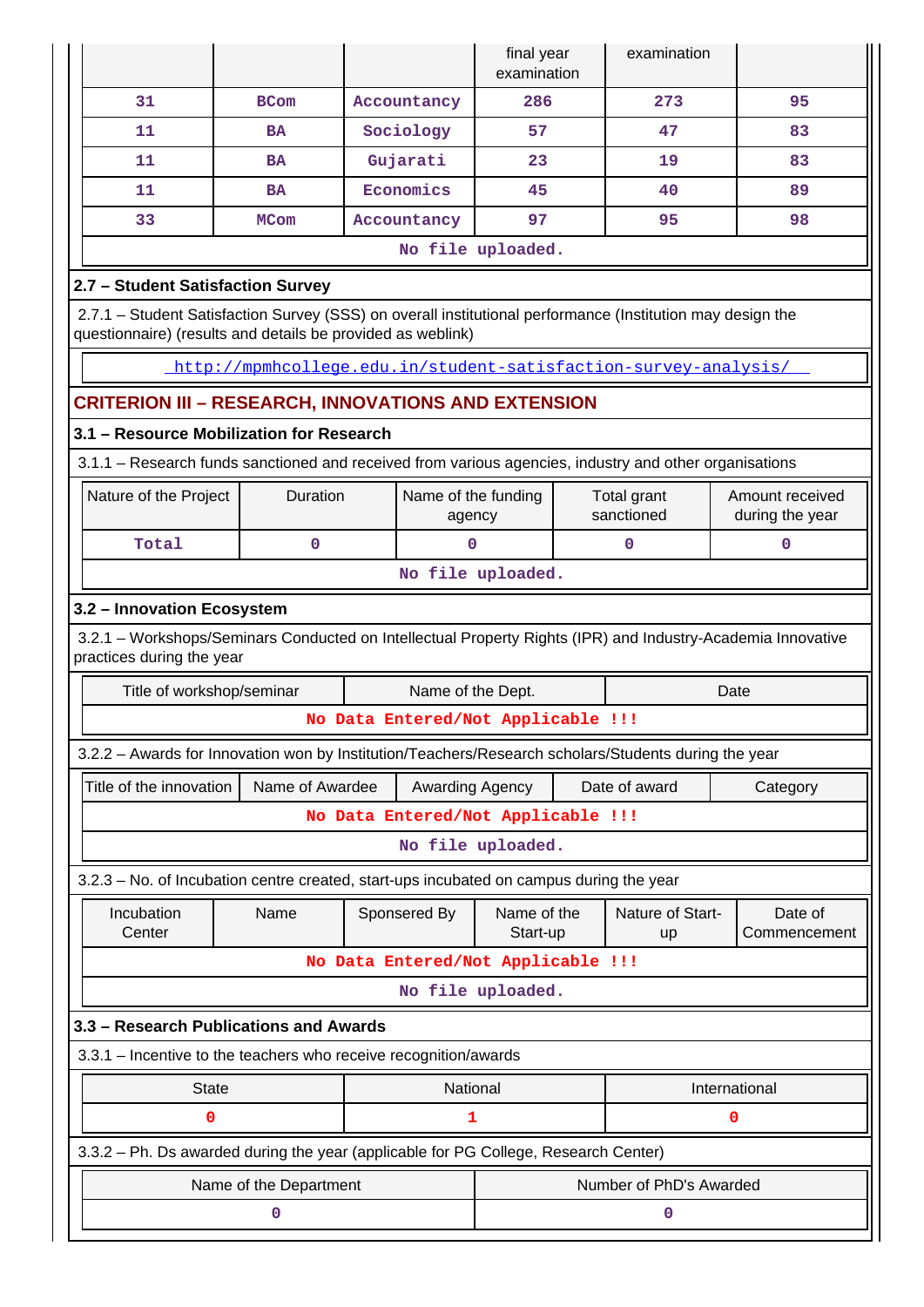|                                                                                                                                                                           |                                                                                                        |                                    | final year<br>examination     |  | examination               |                                    |  |
|---------------------------------------------------------------------------------------------------------------------------------------------------------------------------|--------------------------------------------------------------------------------------------------------|------------------------------------|-------------------------------|--|---------------------------|------------------------------------|--|
| 31                                                                                                                                                                        | <b>BCom</b>                                                                                            | Accountancy                        | 286                           |  | 273                       | 95                                 |  |
| 11                                                                                                                                                                        | <b>BA</b>                                                                                              | Sociology                          | 57                            |  | 47                        | 83                                 |  |
| 11                                                                                                                                                                        | <b>BA</b>                                                                                              | Gujarati                           | 23                            |  | 19                        | 83                                 |  |
| 11                                                                                                                                                                        | <b>BA</b>                                                                                              | Economics                          | 45                            |  | 40                        | 89                                 |  |
| 33                                                                                                                                                                        | <b>MCom</b>                                                                                            | Accountancy                        | 97                            |  | 95                        | 98                                 |  |
|                                                                                                                                                                           |                                                                                                        |                                    | No file uploaded.             |  |                           |                                    |  |
| 2.7 - Student Satisfaction Survey                                                                                                                                         |                                                                                                        |                                    |                               |  |                           |                                    |  |
| 2.7.1 - Student Satisfaction Survey (SSS) on overall institutional performance (Institution may design the<br>questionnaire) (results and details be provided as weblink) |                                                                                                        |                                    |                               |  |                           |                                    |  |
|                                                                                                                                                                           | http://mpmhcollege.edu.in/student-satisfaction-survey-analysis/                                        |                                    |                               |  |                           |                                    |  |
|                                                                                                                                                                           | CRITERION III – RESEARCH, INNOVATIONS AND EXTENSION                                                    |                                    |                               |  |                           |                                    |  |
|                                                                                                                                                                           | 3.1 - Resource Mobilization for Research                                                               |                                    |                               |  |                           |                                    |  |
|                                                                                                                                                                           | 3.1.1 - Research funds sanctioned and received from various agencies, industry and other organisations |                                    |                               |  |                           |                                    |  |
| Nature of the Project                                                                                                                                                     | Duration                                                                                               |                                    | Name of the funding<br>agency |  | Total grant<br>sanctioned | Amount received<br>during the year |  |
| Total                                                                                                                                                                     | 0                                                                                                      |                                    | $\mathbf 0$                   |  | 0                         | $\mathbf 0$                        |  |
| No file uploaded.                                                                                                                                                         |                                                                                                        |                                    |                               |  |                           |                                    |  |
| 3.2 - Innovation Ecosystem                                                                                                                                                |                                                                                                        |                                    |                               |  |                           |                                    |  |
| 3.2.1 - Workshops/Seminars Conducted on Intellectual Property Rights (IPR) and Industry-Academia Innovative<br>practices during the year                                  |                                                                                                        |                                    |                               |  |                           |                                    |  |
| Title of workshop/seminar<br>Name of the Dept.<br>Date                                                                                                                    |                                                                                                        |                                    |                               |  |                           |                                    |  |
|                                                                                                                                                                           |                                                                                                        | No Data Entered/Not Applicable !!! |                               |  |                           |                                    |  |
|                                                                                                                                                                           | 3.2.2 - Awards for Innovation won by Institution/Teachers/Research scholars/Students during the year   |                                    |                               |  |                           |                                    |  |
| Title of the innovation                                                                                                                                                   | Name of Awardee                                                                                        |                                    | Awarding Agency               |  | Date of award             | Category                           |  |
|                                                                                                                                                                           |                                                                                                        | No Data Entered/Not Applicable !!! |                               |  |                           |                                    |  |
|                                                                                                                                                                           |                                                                                                        |                                    | No file uploaded.             |  |                           |                                    |  |
|                                                                                                                                                                           | 3.2.3 - No. of Incubation centre created, start-ups incubated on campus during the year                |                                    |                               |  |                           |                                    |  |
| Incubation<br>Center                                                                                                                                                      | Name                                                                                                   | Sponsered By                       | Name of the<br>Start-up       |  | Nature of Start-<br>up    | Date of<br>Commencement            |  |
|                                                                                                                                                                           |                                                                                                        | No Data Entered/Not Applicable !!! |                               |  |                           |                                    |  |
|                                                                                                                                                                           |                                                                                                        |                                    | No file uploaded.             |  |                           |                                    |  |
|                                                                                                                                                                           | 3.3 - Research Publications and Awards                                                                 |                                    |                               |  |                           |                                    |  |
|                                                                                                                                                                           | 3.3.1 - Incentive to the teachers who receive recognition/awards                                       |                                    |                               |  |                           |                                    |  |
| <b>State</b>                                                                                                                                                              |                                                                                                        |                                    | National                      |  |                           | International                      |  |
| 0                                                                                                                                                                         |                                                                                                        |                                    | 1                             |  |                           | 0                                  |  |
|                                                                                                                                                                           | 3.3.2 - Ph. Ds awarded during the year (applicable for PG College, Research Center)                    |                                    |                               |  |                           |                                    |  |
|                                                                                                                                                                           | Name of the Department                                                                                 |                                    |                               |  | Number of PhD's Awarded   |                                    |  |
|                                                                                                                                                                           | 0                                                                                                      |                                    |                               |  | 0                         |                                    |  |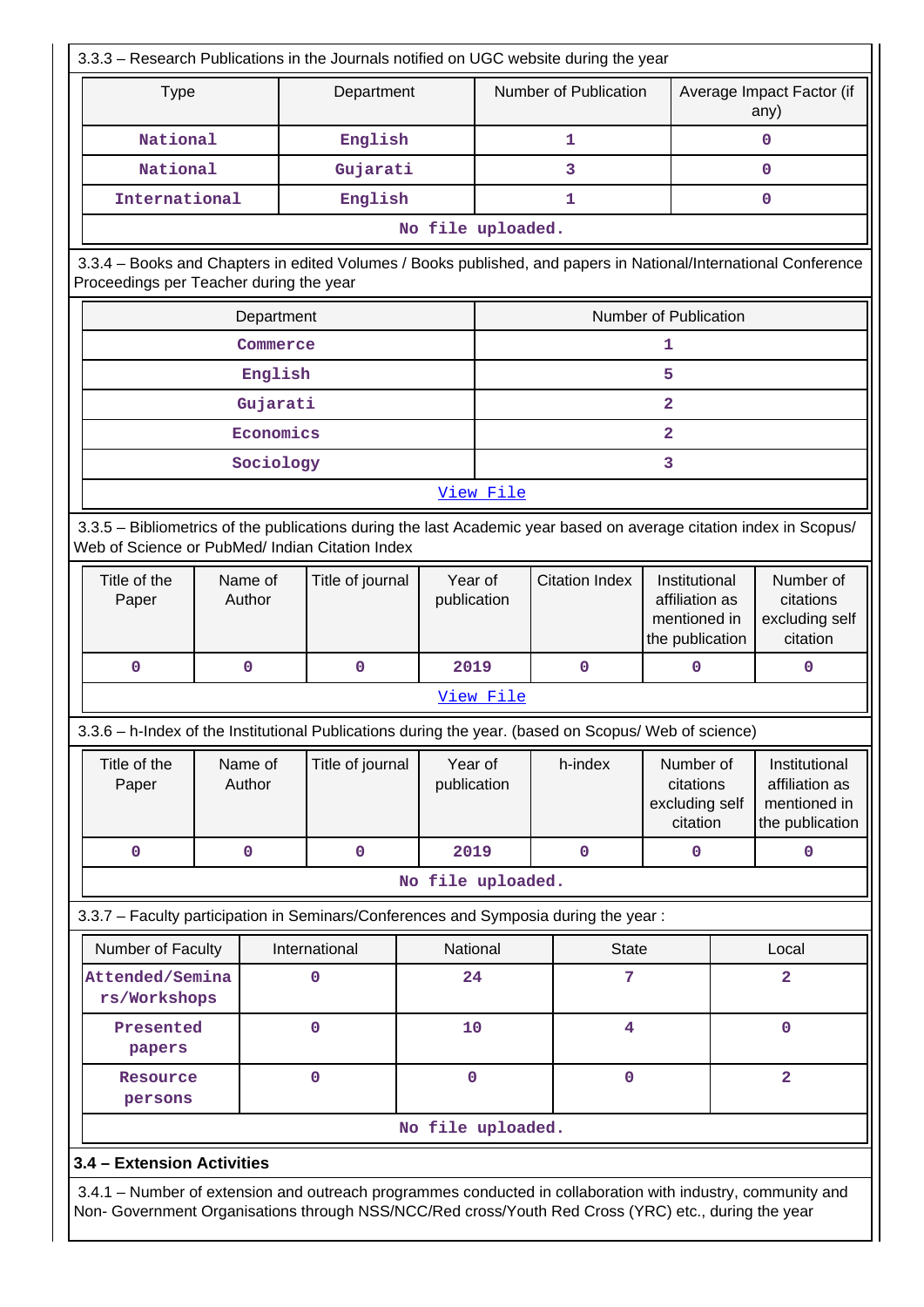| 3.3.3 - Research Publications in the Journals notified on UGC website during the year                                                                                                                              |                   |                  |                        |                                                 |                       |                                                                    |   |                                                                    |
|--------------------------------------------------------------------------------------------------------------------------------------------------------------------------------------------------------------------|-------------------|------------------|------------------------|-------------------------------------------------|-----------------------|--------------------------------------------------------------------|---|--------------------------------------------------------------------|
| <b>Type</b>                                                                                                                                                                                                        |                   | Department       |                        |                                                 | Number of Publication |                                                                    |   | Average Impact Factor (if<br>any)                                  |
| National                                                                                                                                                                                                           |                   | English          |                        |                                                 | 1                     |                                                                    | 0 |                                                                    |
| National                                                                                                                                                                                                           |                   | Gujarati         |                        |                                                 | 3                     |                                                                    |   | 0                                                                  |
| International                                                                                                                                                                                                      |                   | English          |                        |                                                 | 1                     |                                                                    |   | 0                                                                  |
|                                                                                                                                                                                                                    |                   |                  | No file uploaded.      |                                                 |                       |                                                                    |   |                                                                    |
| 3.3.4 - Books and Chapters in edited Volumes / Books published, and papers in National/International Conference<br>Proceedings per Teacher during the year                                                         |                   |                  |                        |                                                 |                       |                                                                    |   |                                                                    |
|                                                                                                                                                                                                                    | Department        |                  |                        |                                                 |                       | Number of Publication                                              |   |                                                                    |
|                                                                                                                                                                                                                    | Commerce          |                  |                        |                                                 |                       | 1                                                                  |   |                                                                    |
|                                                                                                                                                                                                                    | English           |                  |                        |                                                 |                       | 5                                                                  |   |                                                                    |
|                                                                                                                                                                                                                    | Gujarati          |                  |                        |                                                 |                       | $\mathbf{2}$                                                       |   |                                                                    |
|                                                                                                                                                                                                                    | Economics         |                  |                        |                                                 |                       | $\overline{a}$                                                     |   |                                                                    |
|                                                                                                                                                                                                                    | Sociology         |                  |                        |                                                 |                       | 3                                                                  |   |                                                                    |
|                                                                                                                                                                                                                    |                   |                  |                        | View File                                       |                       |                                                                    |   |                                                                    |
| 3.3.5 - Bibliometrics of the publications during the last Academic year based on average citation index in Scopus/<br>Web of Science or PubMed/ Indian Citation Index                                              |                   |                  |                        |                                                 |                       |                                                                    |   |                                                                    |
| Title of the<br>Paper                                                                                                                                                                                              | Name of<br>Author | Title of journal |                        | Year of<br><b>Citation Index</b><br>publication |                       | Institutional<br>affiliation as<br>mentioned in<br>the publication |   | Number of<br>citations<br>excluding self<br>citation               |
| $\mathbf 0$                                                                                                                                                                                                        | $\mathbf 0$       | $\mathbf 0$      |                        | 2019                                            | $\mathbf 0$           | 0                                                                  |   | $\mathbf 0$                                                        |
|                                                                                                                                                                                                                    |                   |                  |                        | View File                                       |                       |                                                                    |   |                                                                    |
| 3.3.6 - h-Index of the Institutional Publications during the year. (based on Scopus/ Web of science)                                                                                                               |                   |                  |                        |                                                 |                       |                                                                    |   |                                                                    |
| Title of the<br>Paper                                                                                                                                                                                              | Name of<br>Author | Title of journal | Year of<br>publication |                                                 | h-index               | Number of<br>citations<br>excluding self<br>citation               |   | Institutional<br>affiliation as<br>mentioned in<br>the publication |
| $\mathbf 0$                                                                                                                                                                                                        | 0                 | $\mathbf 0$      | 2019                   |                                                 | $\mathbf 0$           | $\mathbf{0}$                                                       |   | $\mathbf{0}$                                                       |
|                                                                                                                                                                                                                    |                   |                  | No file uploaded.      |                                                 |                       |                                                                    |   |                                                                    |
| 3.3.7 - Faculty participation in Seminars/Conferences and Symposia during the year:                                                                                                                                |                   |                  |                        |                                                 |                       |                                                                    |   |                                                                    |
| Number of Faculty                                                                                                                                                                                                  |                   | International    | National               |                                                 | <b>State</b>          |                                                                    |   | Local                                                              |
| Attended/Semina<br>rs/Workshops                                                                                                                                                                                    |                   | 0                | 24                     |                                                 | 7                     |                                                                    |   | $\overline{2}$                                                     |
| Presented<br>papers                                                                                                                                                                                                |                   | 0                | 10                     |                                                 | 4                     |                                                                    |   | $\mathbf 0$                                                        |
| Resource<br>persons                                                                                                                                                                                                |                   | $\mathbf 0$      | 0                      |                                                 | $\mathbf 0$           |                                                                    |   | $\overline{2}$                                                     |
|                                                                                                                                                                                                                    |                   |                  | No file uploaded.      |                                                 |                       |                                                                    |   |                                                                    |
| 3.4 - Extension Activities                                                                                                                                                                                         |                   |                  |                        |                                                 |                       |                                                                    |   |                                                                    |
| 3.4.1 – Number of extension and outreach programmes conducted in collaboration with industry, community and<br>Non- Government Organisations through NSS/NCC/Red cross/Youth Red Cross (YRC) etc., during the year |                   |                  |                        |                                                 |                       |                                                                    |   |                                                                    |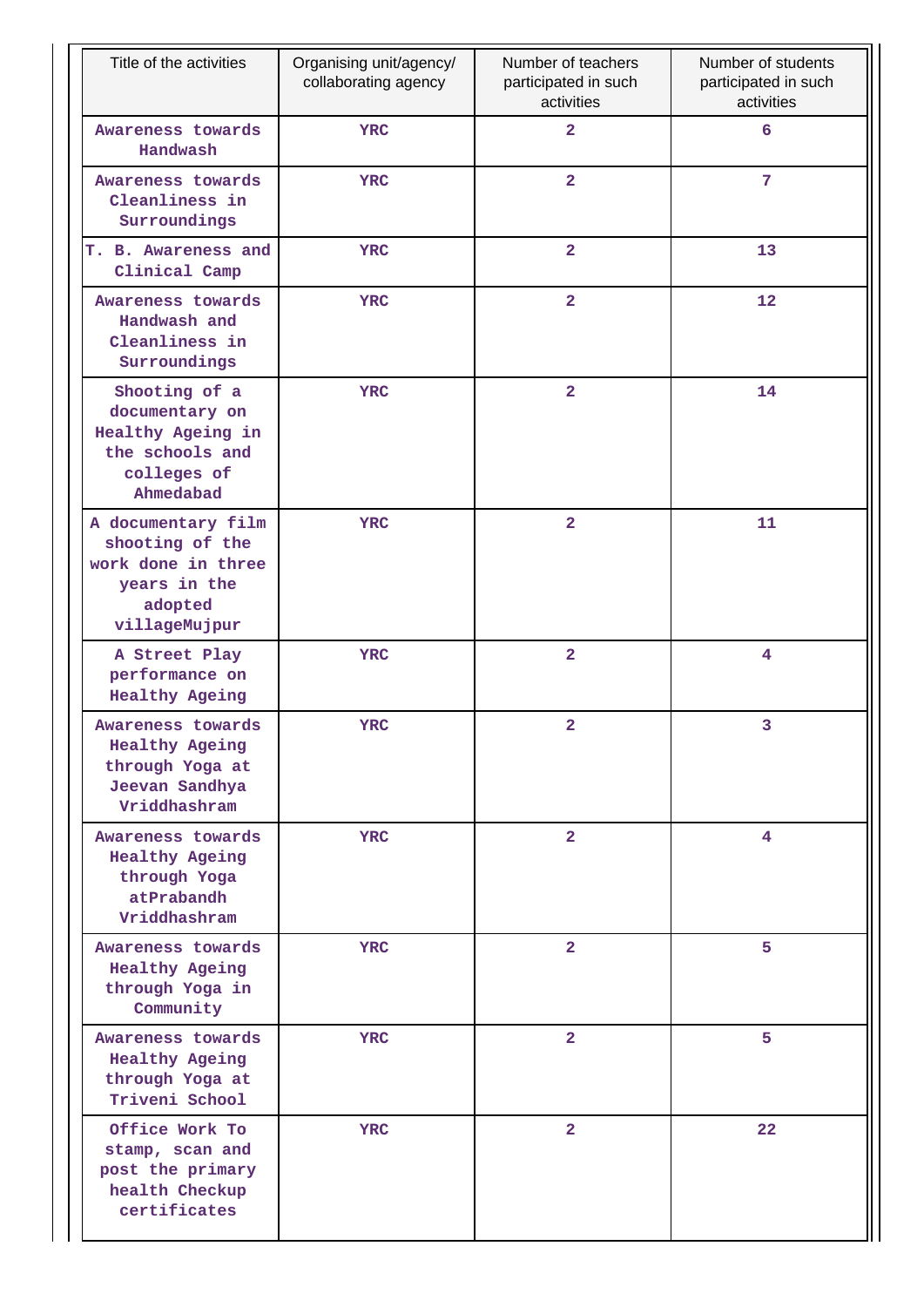| Title of the activities                                                                                 | Organising unit/agency/<br>collaborating agency | Number of teachers<br>participated in such<br>activities | Number of students<br>participated in such<br>activities |
|---------------------------------------------------------------------------------------------------------|-------------------------------------------------|----------------------------------------------------------|----------------------------------------------------------|
| Awareness towards<br>Handwash                                                                           | <b>YRC</b>                                      | $\overline{a}$                                           | 6                                                        |
| Awareness towards<br>Cleanliness in<br>Surroundings                                                     | <b>YRC</b>                                      | $\overline{a}$                                           | 7                                                        |
| T. B. Awareness and<br>Clinical Camp                                                                    | <b>YRC</b>                                      | $\overline{2}$                                           | 13                                                       |
| Awareness towards<br>Handwash and<br>Cleanliness in<br>Surroundings                                     | <b>YRC</b>                                      | $\overline{a}$                                           | 12                                                       |
| Shooting of a<br>documentary on<br>Healthy Ageing in<br>the schools and<br>colleges of<br>Ahmedabad     | <b>YRC</b>                                      | $\overline{\mathbf{2}}$                                  | 14                                                       |
| A documentary film<br>shooting of the<br>work done in three<br>years in the<br>adopted<br>villageMujpur | <b>YRC</b>                                      | $\overline{\mathbf{2}}$                                  | 11                                                       |
| A Street Play<br>performance on<br><b>Healthy Ageing</b>                                                | <b>YRC</b>                                      | $\overline{\mathbf{2}}$                                  | 4                                                        |
| Awareness towards<br><b>Healthy Ageing</b><br>through Yoga at<br>Jeevan Sandhya<br>Vriddhashram         | YRC                                             | $\overline{\mathbf{2}}$                                  | 3                                                        |
| Awareness towards<br><b>Healthy Ageing</b><br>through Yoga<br>atPrabandh<br>Vriddhashram                | <b>YRC</b>                                      | $\overline{2}$                                           | $\overline{4}$                                           |
| Awareness towards<br><b>Healthy Ageing</b><br>through Yoga in<br>Community                              | <b>YRC</b>                                      | $\overline{a}$                                           | 5                                                        |
| Awareness towards<br><b>Healthy Ageing</b><br>through Yoga at<br>Triveni School                         | <b>YRC</b>                                      | $\overline{a}$                                           | 5                                                        |
| Office Work To<br>stamp, scan and<br>post the primary<br>health Checkup<br>certificates                 | <b>YRC</b>                                      | $\overline{a}$                                           | 22                                                       |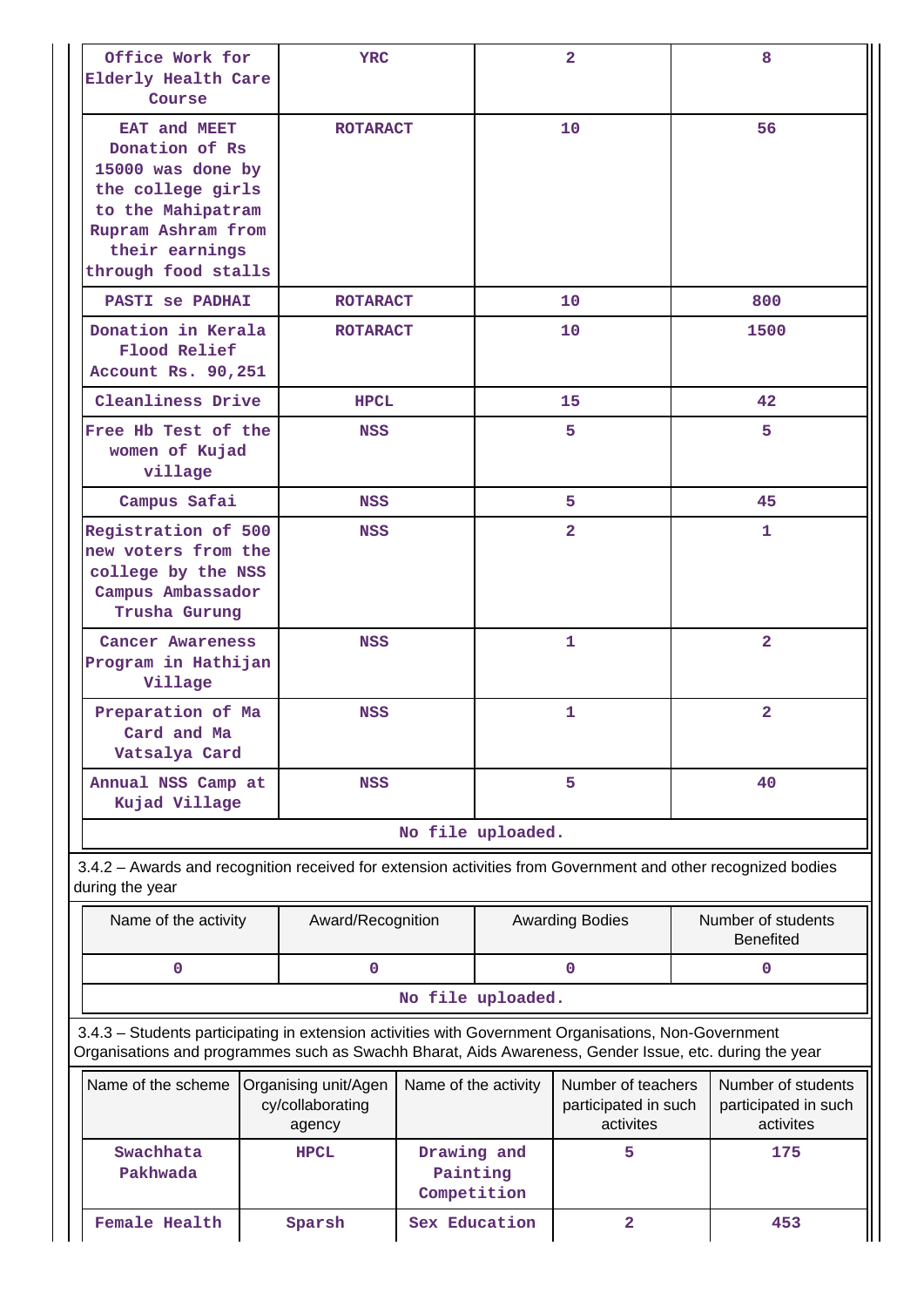| Office Work for<br>Elderly Health Care<br>Course                                                                                                                                                               |            | <b>YRC</b>                                         |                                        |                   | $\mathbf{2}$                                            |     | 8                                                                                           |  |  |
|----------------------------------------------------------------------------------------------------------------------------------------------------------------------------------------------------------------|------------|----------------------------------------------------|----------------------------------------|-------------------|---------------------------------------------------------|-----|---------------------------------------------------------------------------------------------|--|--|
| EAT and MEET<br>Donation of Rs<br>15000 was done by<br>the college girls<br>to the Mahipatram<br>Rupram Ashram from<br>their earnings<br>through food stalls                                                   |            | <b>ROTARACT</b>                                    |                                        |                   | 10                                                      |     | 56                                                                                          |  |  |
| <b>PASTI Se PADHAI</b>                                                                                                                                                                                         |            | <b>ROTARACT</b>                                    |                                        |                   | 10                                                      | 800 |                                                                                             |  |  |
| Donation in Kerala<br>Flood Relief<br>Account Rs. 90,251                                                                                                                                                       |            | <b>ROTARACT</b>                                    |                                        |                   | 10                                                      |     | 1500                                                                                        |  |  |
| Cleanliness Drive                                                                                                                                                                                              |            | <b>HPCL</b>                                        |                                        |                   | 15                                                      |     | 42                                                                                          |  |  |
| Free Hb Test of the<br>women of Kujad<br>village                                                                                                                                                               |            | <b>NSS</b>                                         |                                        |                   | 5                                                       |     | 5                                                                                           |  |  |
| Campus Safai                                                                                                                                                                                                   |            | <b>NSS</b>                                         |                                        |                   | 5                                                       |     | 45                                                                                          |  |  |
| Registration of 500<br>new voters from the<br>college by the NSS<br>Campus Ambassador<br>Trusha Gurung                                                                                                         | <b>NSS</b> |                                                    |                                        |                   | $\overline{2}$                                          |     | $\mathbf{1}$                                                                                |  |  |
| Cancer Awareness<br>Program in Hathijan<br>Village                                                                                                                                                             |            | <b>NSS</b>                                         |                                        |                   | $\mathbf{1}$                                            |     | $\overline{\mathbf{2}}$                                                                     |  |  |
| Preparation of Ma<br>Card and Ma<br>Vatsalya Card                                                                                                                                                              |            | <b>NSS</b>                                         |                                        |                   | 1                                                       |     | $\mathbf{2}$                                                                                |  |  |
| Annual NSS Camp at<br>Kujad Village                                                                                                                                                                            |            | <b>NSS</b>                                         |                                        | 5                 |                                                         |     | 40                                                                                          |  |  |
|                                                                                                                                                                                                                |            |                                                    |                                        | No file uploaded. |                                                         |     |                                                                                             |  |  |
| 3.4.2 - Awards and recognition received for extension activities from Government and other recognized bodies<br>during the year                                                                                |            |                                                    |                                        |                   |                                                         |     |                                                                                             |  |  |
| Name of the activity                                                                                                                                                                                           |            | Award/Recognition                                  |                                        |                   | <b>Awarding Bodies</b>                                  |     | <b>Benefited</b>                                                                            |  |  |
| 0                                                                                                                                                                                                              |            | $\mathbf 0$                                        |                                        |                   | $\mathbf 0$                                             |     | 0                                                                                           |  |  |
|                                                                                                                                                                                                                |            |                                                    |                                        | No file uploaded. |                                                         |     |                                                                                             |  |  |
| 3.4.3 - Students participating in extension activities with Government Organisations, Non-Government<br>Organisations and programmes such as Swachh Bharat, Aids Awareness, Gender Issue, etc. during the year |            |                                                    |                                        |                   |                                                         |     |                                                                                             |  |  |
| Name of the scheme                                                                                                                                                                                             |            | Organising unit/Agen<br>cy/collaborating<br>agency | Name of the activity                   |                   | Number of teachers<br>participated in such<br>activites |     | Number of students<br>Number of students<br>participated in such<br>activites<br>175<br>453 |  |  |
| Swachhata<br>Pakhwada                                                                                                                                                                                          |            | <b>HPCL</b>                                        | Drawing and<br>Painting<br>Competition |                   | 5                                                       |     |                                                                                             |  |  |
| <b>Female Health</b>                                                                                                                                                                                           |            | Sparsh                                             | Sex Education                          |                   | $\mathbf{2}$                                            |     |                                                                                             |  |  |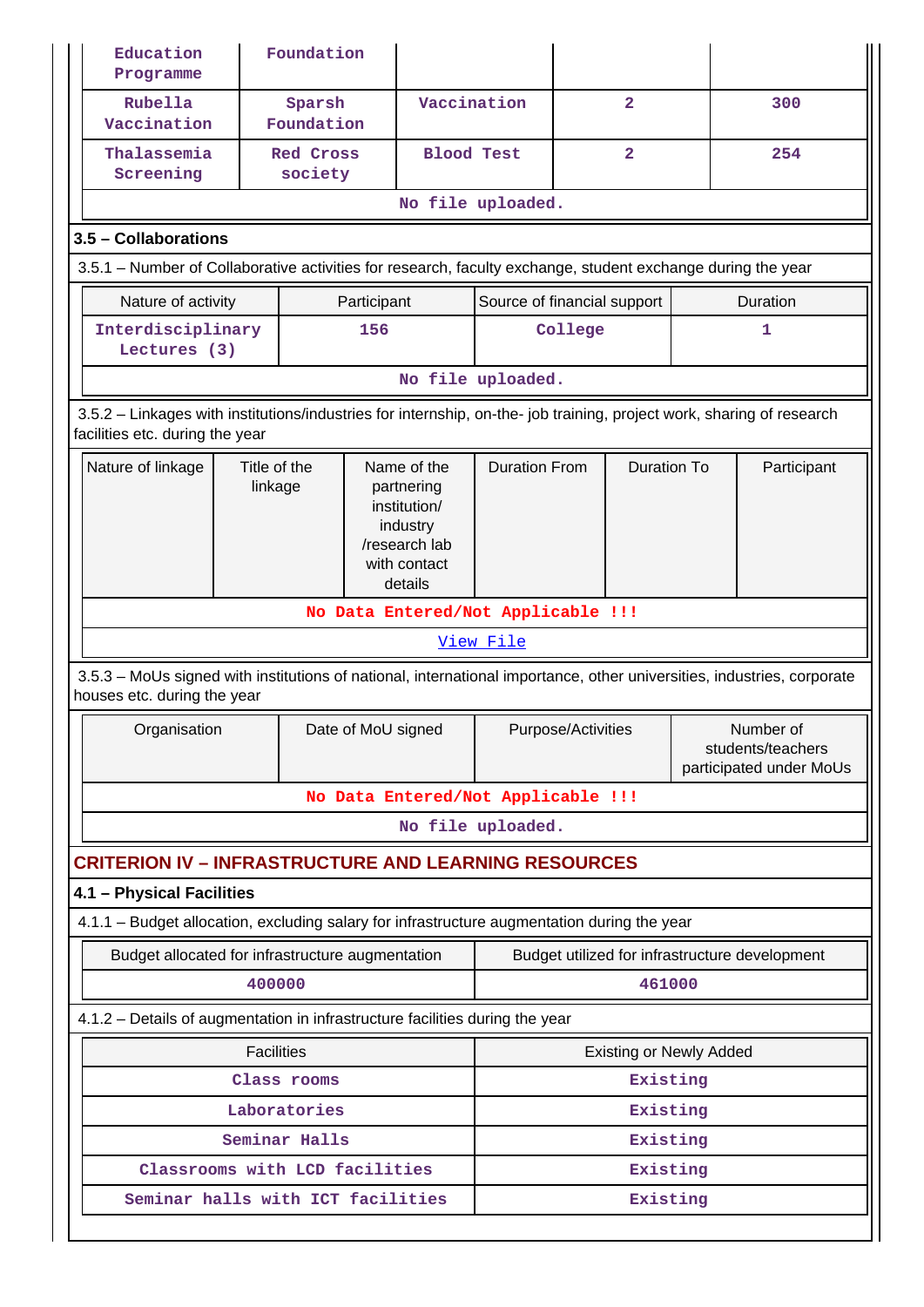| Education<br>Programme                                                                                                                                   |                             | Foundation                                                                                        |                      |                                     |                                    |                |                                                           |  |                                                |
|----------------------------------------------------------------------------------------------------------------------------------------------------------|-----------------------------|---------------------------------------------------------------------------------------------------|----------------------|-------------------------------------|------------------------------------|----------------|-----------------------------------------------------------|--|------------------------------------------------|
| Rubella<br>Vaccination                                                                                                                                   |                             | Sparsh<br>Foundation                                                                              |                      | Vaccination                         |                                    | $\overline{a}$ |                                                           |  | 300                                            |
| Thalassemia<br>Screening                                                                                                                                 | <b>Red Cross</b><br>society |                                                                                                   |                      | $\overline{a}$<br><b>Blood Test</b> |                                    |                | 254                                                       |  |                                                |
|                                                                                                                                                          |                             |                                                                                                   |                      |                                     | No file uploaded.                  |                |                                                           |  |                                                |
| 3.5 - Collaborations                                                                                                                                     |                             |                                                                                                   |                      |                                     |                                    |                |                                                           |  |                                                |
| 3.5.1 – Number of Collaborative activities for research, faculty exchange, student exchange during the year                                              |                             |                                                                                                   |                      |                                     |                                    |                |                                                           |  |                                                |
| Nature of activity                                                                                                                                       |                             |                                                                                                   | Participant          |                                     | Source of financial support        |                |                                                           |  | Duration                                       |
| Interdisciplinary<br>Lectures (3)                                                                                                                        |                             |                                                                                                   | 156                  |                                     |                                    | College        |                                                           |  | 1                                              |
|                                                                                                                                                          |                             |                                                                                                   |                      |                                     | No file uploaded.                  |                |                                                           |  |                                                |
| 3.5.2 - Linkages with institutions/industries for internship, on-the- job training, project work, sharing of research<br>facilities etc. during the year |                             |                                                                                                   |                      |                                     |                                    |                |                                                           |  |                                                |
| Title of the<br>Nature of linkage<br>linkage                                                                                                             |                             | Name of the<br>partnering<br>institution/<br>industry<br>/research lab<br>with contact<br>details | <b>Duration From</b> |                                     | <b>Duration To</b>                 |                | Participant                                               |  |                                                |
| No Data Entered/Not Applicable !!!                                                                                                                       |                             |                                                                                                   |                      |                                     |                                    |                |                                                           |  |                                                |
| View File                                                                                                                                                |                             |                                                                                                   |                      |                                     |                                    |                |                                                           |  |                                                |
| 3.5.3 – MoUs signed with institutions of national, international importance, other universities, industries, corporate<br>houses etc. during the year    |                             |                                                                                                   |                      |                                     |                                    |                |                                                           |  |                                                |
| Organisation                                                                                                                                             |                             |                                                                                                   |                      | Date of MoU signed                  | Purpose/Activities                 |                | Number of<br>students/teachers<br>participated under MoUs |  |                                                |
|                                                                                                                                                          |                             |                                                                                                   |                      |                                     | No Data Entered/Not Applicable !!! |                |                                                           |  |                                                |
|                                                                                                                                                          |                             |                                                                                                   |                      |                                     | No file uploaded.                  |                |                                                           |  |                                                |
| <b>CRITERION IV - INFRASTRUCTURE AND LEARNING RESOURCES</b>                                                                                              |                             |                                                                                                   |                      |                                     |                                    |                |                                                           |  |                                                |
| 4.1 - Physical Facilities                                                                                                                                |                             |                                                                                                   |                      |                                     |                                    |                |                                                           |  |                                                |
| 4.1.1 - Budget allocation, excluding salary for infrastructure augmentation during the year                                                              |                             |                                                                                                   |                      |                                     |                                    |                |                                                           |  |                                                |
| Budget allocated for infrastructure augmentation                                                                                                         |                             |                                                                                                   |                      |                                     |                                    |                |                                                           |  | Budget utilized for infrastructure development |
|                                                                                                                                                          | 400000                      |                                                                                                   |                      |                                     |                                    |                | 461000                                                    |  |                                                |
| 4.1.2 - Details of augmentation in infrastructure facilities during the year                                                                             |                             |                                                                                                   |                      |                                     |                                    |                |                                                           |  |                                                |
|                                                                                                                                                          | <b>Facilities</b>           |                                                                                                   |                      |                                     |                                    |                | <b>Existing or Newly Added</b>                            |  |                                                |
|                                                                                                                                                          |                             | Class rooms                                                                                       |                      |                                     |                                    |                | Existing                                                  |  |                                                |
|                                                                                                                                                          |                             | Laboratories                                                                                      |                      |                                     |                                    |                | Existing                                                  |  |                                                |
|                                                                                                                                                          |                             | Seminar Halls                                                                                     |                      |                                     |                                    |                | Existing                                                  |  |                                                |
| Classrooms with LCD facilities                                                                                                                           |                             |                                                                                                   |                      |                                     |                                    |                | Existing                                                  |  |                                                |
| Seminar halls with ICT facilities                                                                                                                        |                             |                                                                                                   |                      |                                     |                                    |                | Existing                                                  |  |                                                |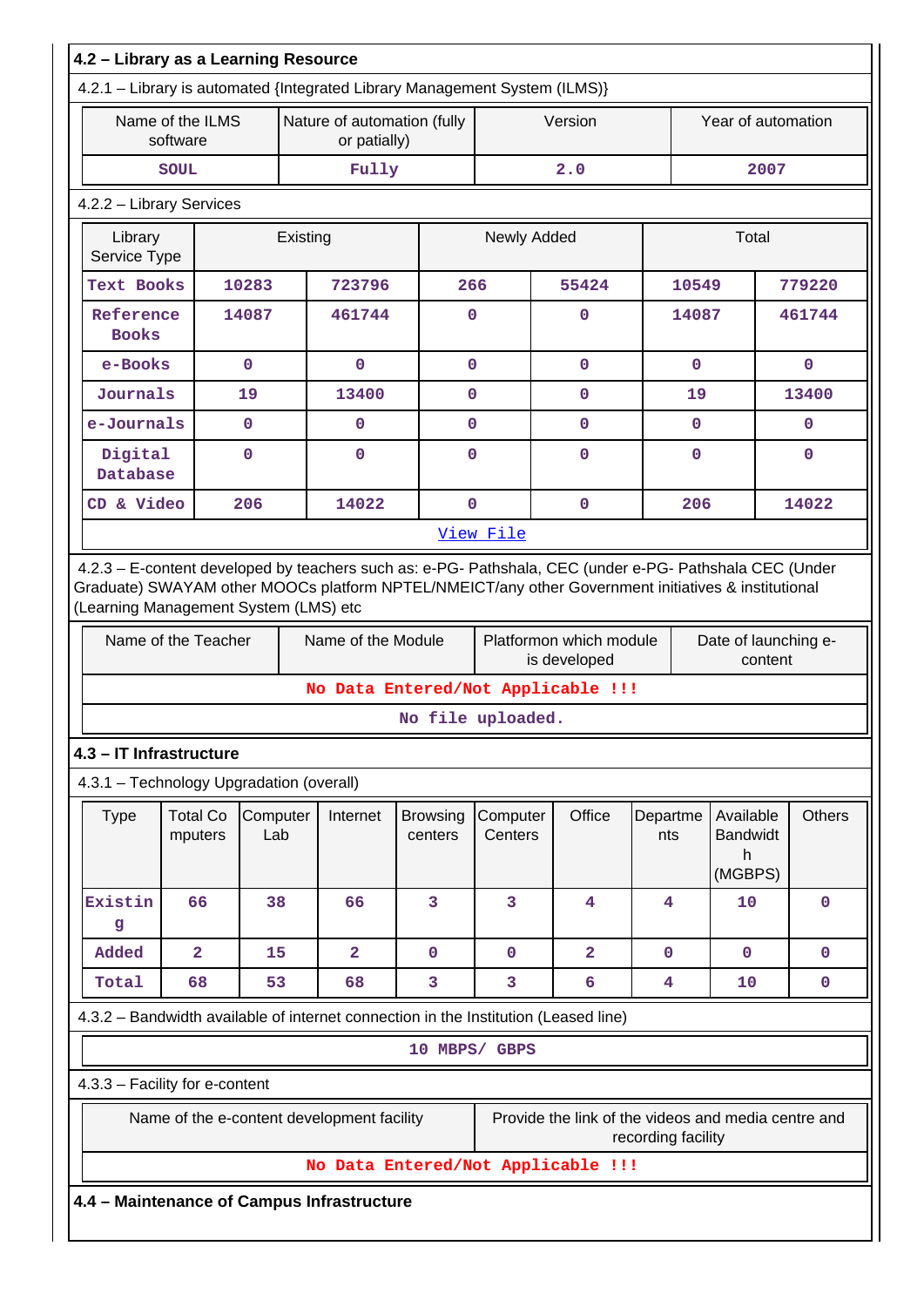| 4.2.1 - Library is automated {Integrated Library Management System (ILMS)}<br>Name of the ILMS<br>Nature of automation (fully<br>Version<br>Year of automation<br>software<br>or patially)<br>Fully<br>2.0<br><b>SOUL</b><br>2007<br>4.2.2 - Library Services<br>Library<br>Newly Added<br>Total<br>Existing<br>Service Type<br>Text Books<br>10283<br>723796<br>266<br>55424<br>10549<br>779220<br>14087<br>461744<br>14087<br>461744<br>Reference<br>$\mathbf{0}$<br>0<br><b>Books</b><br>$\mathbf 0$<br>$\mathbf 0$<br>$\mathbf 0$<br>$\mathbf 0$<br>e-Books<br>$\mathbf{0}$<br>$\mathbf 0$<br>Journals<br>13400<br>$\mathbf 0$<br>13400<br>19<br>$\mathbf{O}$<br>19<br>e-Journals<br>$\mathbf{0}$<br>$\mathbf 0$<br>$\mathbf{0}$<br>0<br>$\mathbf 0$<br>$\mathbf{0}$<br>Digital<br>$\mathbf 0$<br>$\mathbf{O}$<br>$\mathbf 0$<br>$\mathbf{0}$<br>0<br>$\mathbf{0}$<br>Database<br>CD & Video<br>206<br>14022<br>$\mathbf 0$<br>206<br>$\mathbf 0$<br>14022<br>View File<br>4.2.3 - E-content developed by teachers such as: e-PG- Pathshala, CEC (under e-PG- Pathshala CEC (Under<br>Graduate) SWAYAM other MOOCs platform NPTEL/NMEICT/any other Government initiatives & institutional<br>(Learning Management System (LMS) etc<br>Name of the Teacher<br>Name of the Module<br>Platformon which module<br>Date of launching e-<br>is developed<br>content<br>No Data Entered/Not Applicable !!!<br>No file uploaded.<br>4.3 - IT Infrastructure<br>4.3.1 - Technology Upgradation (overall)<br><b>Others</b><br><b>Total Co</b><br>Computer<br>Internet<br>Office<br>Available<br><b>Type</b><br><b>Browsing</b><br>Computer<br>Departme<br><b>Bandwidt</b><br>Lab<br>Centers<br>mputers<br>centers<br>nts<br>h<br>(MGBPS)<br>3<br>Existin<br>66<br>38<br>66<br>3<br>10<br>4<br>4<br>$\mathbf 0$<br>g<br>$\overline{2}$<br>$\overline{2}$<br>$\overline{\mathbf{2}}$<br>15<br>$\mathbf 0$<br>$\mathbf 0$<br>$\mathbf 0$<br>$\mathbf 0$<br>$\mathbf 0$<br>Added<br>3<br>3<br>6<br>Total<br>68<br>53<br>68<br>10<br>$\mathbf 0$<br>4<br>4.3.2 - Bandwidth available of internet connection in the Institution (Leased line)<br>10 MBPS/ GBPS<br>4.3.3 - Facility for e-content<br>Name of the e-content development facility<br>Provide the link of the videos and media centre and<br>recording facility<br>No Data Entered/Not Applicable !!!<br>4.4 - Maintenance of Campus Infrastructure | 4.2 - Library as a Learning Resource |  |  |  |  |  |  |  |  |  |
|-----------------------------------------------------------------------------------------------------------------------------------------------------------------------------------------------------------------------------------------------------------------------------------------------------------------------------------------------------------------------------------------------------------------------------------------------------------------------------------------------------------------------------------------------------------------------------------------------------------------------------------------------------------------------------------------------------------------------------------------------------------------------------------------------------------------------------------------------------------------------------------------------------------------------------------------------------------------------------------------------------------------------------------------------------------------------------------------------------------------------------------------------------------------------------------------------------------------------------------------------------------------------------------------------------------------------------------------------------------------------------------------------------------------------------------------------------------------------------------------------------------------------------------------------------------------------------------------------------------------------------------------------------------------------------------------------------------------------------------------------------------------------------------------------------------------------------------------------------------------------------------------------------------------------------------------------------------------------------------------------------------------------------------------------------------------------------------------------------------------------------------------------------------------------------------------------------------------------------------------------------------------------------------------------------------------------------------------------------------------------------------------------------|--------------------------------------|--|--|--|--|--|--|--|--|--|
|                                                                                                                                                                                                                                                                                                                                                                                                                                                                                                                                                                                                                                                                                                                                                                                                                                                                                                                                                                                                                                                                                                                                                                                                                                                                                                                                                                                                                                                                                                                                                                                                                                                                                                                                                                                                                                                                                                                                                                                                                                                                                                                                                                                                                                                                                                                                                                                                     |                                      |  |  |  |  |  |  |  |  |  |
|                                                                                                                                                                                                                                                                                                                                                                                                                                                                                                                                                                                                                                                                                                                                                                                                                                                                                                                                                                                                                                                                                                                                                                                                                                                                                                                                                                                                                                                                                                                                                                                                                                                                                                                                                                                                                                                                                                                                                                                                                                                                                                                                                                                                                                                                                                                                                                                                     |                                      |  |  |  |  |  |  |  |  |  |
|                                                                                                                                                                                                                                                                                                                                                                                                                                                                                                                                                                                                                                                                                                                                                                                                                                                                                                                                                                                                                                                                                                                                                                                                                                                                                                                                                                                                                                                                                                                                                                                                                                                                                                                                                                                                                                                                                                                                                                                                                                                                                                                                                                                                                                                                                                                                                                                                     |                                      |  |  |  |  |  |  |  |  |  |
|                                                                                                                                                                                                                                                                                                                                                                                                                                                                                                                                                                                                                                                                                                                                                                                                                                                                                                                                                                                                                                                                                                                                                                                                                                                                                                                                                                                                                                                                                                                                                                                                                                                                                                                                                                                                                                                                                                                                                                                                                                                                                                                                                                                                                                                                                                                                                                                                     |                                      |  |  |  |  |  |  |  |  |  |
|                                                                                                                                                                                                                                                                                                                                                                                                                                                                                                                                                                                                                                                                                                                                                                                                                                                                                                                                                                                                                                                                                                                                                                                                                                                                                                                                                                                                                                                                                                                                                                                                                                                                                                                                                                                                                                                                                                                                                                                                                                                                                                                                                                                                                                                                                                                                                                                                     |                                      |  |  |  |  |  |  |  |  |  |
|                                                                                                                                                                                                                                                                                                                                                                                                                                                                                                                                                                                                                                                                                                                                                                                                                                                                                                                                                                                                                                                                                                                                                                                                                                                                                                                                                                                                                                                                                                                                                                                                                                                                                                                                                                                                                                                                                                                                                                                                                                                                                                                                                                                                                                                                                                                                                                                                     |                                      |  |  |  |  |  |  |  |  |  |
|                                                                                                                                                                                                                                                                                                                                                                                                                                                                                                                                                                                                                                                                                                                                                                                                                                                                                                                                                                                                                                                                                                                                                                                                                                                                                                                                                                                                                                                                                                                                                                                                                                                                                                                                                                                                                                                                                                                                                                                                                                                                                                                                                                                                                                                                                                                                                                                                     |                                      |  |  |  |  |  |  |  |  |  |
|                                                                                                                                                                                                                                                                                                                                                                                                                                                                                                                                                                                                                                                                                                                                                                                                                                                                                                                                                                                                                                                                                                                                                                                                                                                                                                                                                                                                                                                                                                                                                                                                                                                                                                                                                                                                                                                                                                                                                                                                                                                                                                                                                                                                                                                                                                                                                                                                     |                                      |  |  |  |  |  |  |  |  |  |
|                                                                                                                                                                                                                                                                                                                                                                                                                                                                                                                                                                                                                                                                                                                                                                                                                                                                                                                                                                                                                                                                                                                                                                                                                                                                                                                                                                                                                                                                                                                                                                                                                                                                                                                                                                                                                                                                                                                                                                                                                                                                                                                                                                                                                                                                                                                                                                                                     |                                      |  |  |  |  |  |  |  |  |  |
|                                                                                                                                                                                                                                                                                                                                                                                                                                                                                                                                                                                                                                                                                                                                                                                                                                                                                                                                                                                                                                                                                                                                                                                                                                                                                                                                                                                                                                                                                                                                                                                                                                                                                                                                                                                                                                                                                                                                                                                                                                                                                                                                                                                                                                                                                                                                                                                                     |                                      |  |  |  |  |  |  |  |  |  |
|                                                                                                                                                                                                                                                                                                                                                                                                                                                                                                                                                                                                                                                                                                                                                                                                                                                                                                                                                                                                                                                                                                                                                                                                                                                                                                                                                                                                                                                                                                                                                                                                                                                                                                                                                                                                                                                                                                                                                                                                                                                                                                                                                                                                                                                                                                                                                                                                     |                                      |  |  |  |  |  |  |  |  |  |
|                                                                                                                                                                                                                                                                                                                                                                                                                                                                                                                                                                                                                                                                                                                                                                                                                                                                                                                                                                                                                                                                                                                                                                                                                                                                                                                                                                                                                                                                                                                                                                                                                                                                                                                                                                                                                                                                                                                                                                                                                                                                                                                                                                                                                                                                                                                                                                                                     |                                      |  |  |  |  |  |  |  |  |  |
|                                                                                                                                                                                                                                                                                                                                                                                                                                                                                                                                                                                                                                                                                                                                                                                                                                                                                                                                                                                                                                                                                                                                                                                                                                                                                                                                                                                                                                                                                                                                                                                                                                                                                                                                                                                                                                                                                                                                                                                                                                                                                                                                                                                                                                                                                                                                                                                                     |                                      |  |  |  |  |  |  |  |  |  |
|                                                                                                                                                                                                                                                                                                                                                                                                                                                                                                                                                                                                                                                                                                                                                                                                                                                                                                                                                                                                                                                                                                                                                                                                                                                                                                                                                                                                                                                                                                                                                                                                                                                                                                                                                                                                                                                                                                                                                                                                                                                                                                                                                                                                                                                                                                                                                                                                     |                                      |  |  |  |  |  |  |  |  |  |
|                                                                                                                                                                                                                                                                                                                                                                                                                                                                                                                                                                                                                                                                                                                                                                                                                                                                                                                                                                                                                                                                                                                                                                                                                                                                                                                                                                                                                                                                                                                                                                                                                                                                                                                                                                                                                                                                                                                                                                                                                                                                                                                                                                                                                                                                                                                                                                                                     |                                      |  |  |  |  |  |  |  |  |  |
|                                                                                                                                                                                                                                                                                                                                                                                                                                                                                                                                                                                                                                                                                                                                                                                                                                                                                                                                                                                                                                                                                                                                                                                                                                                                                                                                                                                                                                                                                                                                                                                                                                                                                                                                                                                                                                                                                                                                                                                                                                                                                                                                                                                                                                                                                                                                                                                                     |                                      |  |  |  |  |  |  |  |  |  |
|                                                                                                                                                                                                                                                                                                                                                                                                                                                                                                                                                                                                                                                                                                                                                                                                                                                                                                                                                                                                                                                                                                                                                                                                                                                                                                                                                                                                                                                                                                                                                                                                                                                                                                                                                                                                                                                                                                                                                                                                                                                                                                                                                                                                                                                                                                                                                                                                     |                                      |  |  |  |  |  |  |  |  |  |
|                                                                                                                                                                                                                                                                                                                                                                                                                                                                                                                                                                                                                                                                                                                                                                                                                                                                                                                                                                                                                                                                                                                                                                                                                                                                                                                                                                                                                                                                                                                                                                                                                                                                                                                                                                                                                                                                                                                                                                                                                                                                                                                                                                                                                                                                                                                                                                                                     |                                      |  |  |  |  |  |  |  |  |  |
|                                                                                                                                                                                                                                                                                                                                                                                                                                                                                                                                                                                                                                                                                                                                                                                                                                                                                                                                                                                                                                                                                                                                                                                                                                                                                                                                                                                                                                                                                                                                                                                                                                                                                                                                                                                                                                                                                                                                                                                                                                                                                                                                                                                                                                                                                                                                                                                                     |                                      |  |  |  |  |  |  |  |  |  |
|                                                                                                                                                                                                                                                                                                                                                                                                                                                                                                                                                                                                                                                                                                                                                                                                                                                                                                                                                                                                                                                                                                                                                                                                                                                                                                                                                                                                                                                                                                                                                                                                                                                                                                                                                                                                                                                                                                                                                                                                                                                                                                                                                                                                                                                                                                                                                                                                     |                                      |  |  |  |  |  |  |  |  |  |
|                                                                                                                                                                                                                                                                                                                                                                                                                                                                                                                                                                                                                                                                                                                                                                                                                                                                                                                                                                                                                                                                                                                                                                                                                                                                                                                                                                                                                                                                                                                                                                                                                                                                                                                                                                                                                                                                                                                                                                                                                                                                                                                                                                                                                                                                                                                                                                                                     |                                      |  |  |  |  |  |  |  |  |  |
|                                                                                                                                                                                                                                                                                                                                                                                                                                                                                                                                                                                                                                                                                                                                                                                                                                                                                                                                                                                                                                                                                                                                                                                                                                                                                                                                                                                                                                                                                                                                                                                                                                                                                                                                                                                                                                                                                                                                                                                                                                                                                                                                                                                                                                                                                                                                                                                                     |                                      |  |  |  |  |  |  |  |  |  |
|                                                                                                                                                                                                                                                                                                                                                                                                                                                                                                                                                                                                                                                                                                                                                                                                                                                                                                                                                                                                                                                                                                                                                                                                                                                                                                                                                                                                                                                                                                                                                                                                                                                                                                                                                                                                                                                                                                                                                                                                                                                                                                                                                                                                                                                                                                                                                                                                     |                                      |  |  |  |  |  |  |  |  |  |
|                                                                                                                                                                                                                                                                                                                                                                                                                                                                                                                                                                                                                                                                                                                                                                                                                                                                                                                                                                                                                                                                                                                                                                                                                                                                                                                                                                                                                                                                                                                                                                                                                                                                                                                                                                                                                                                                                                                                                                                                                                                                                                                                                                                                                                                                                                                                                                                                     |                                      |  |  |  |  |  |  |  |  |  |
|                                                                                                                                                                                                                                                                                                                                                                                                                                                                                                                                                                                                                                                                                                                                                                                                                                                                                                                                                                                                                                                                                                                                                                                                                                                                                                                                                                                                                                                                                                                                                                                                                                                                                                                                                                                                                                                                                                                                                                                                                                                                                                                                                                                                                                                                                                                                                                                                     |                                      |  |  |  |  |  |  |  |  |  |
|                                                                                                                                                                                                                                                                                                                                                                                                                                                                                                                                                                                                                                                                                                                                                                                                                                                                                                                                                                                                                                                                                                                                                                                                                                                                                                                                                                                                                                                                                                                                                                                                                                                                                                                                                                                                                                                                                                                                                                                                                                                                                                                                                                                                                                                                                                                                                                                                     |                                      |  |  |  |  |  |  |  |  |  |
|                                                                                                                                                                                                                                                                                                                                                                                                                                                                                                                                                                                                                                                                                                                                                                                                                                                                                                                                                                                                                                                                                                                                                                                                                                                                                                                                                                                                                                                                                                                                                                                                                                                                                                                                                                                                                                                                                                                                                                                                                                                                                                                                                                                                                                                                                                                                                                                                     |                                      |  |  |  |  |  |  |  |  |  |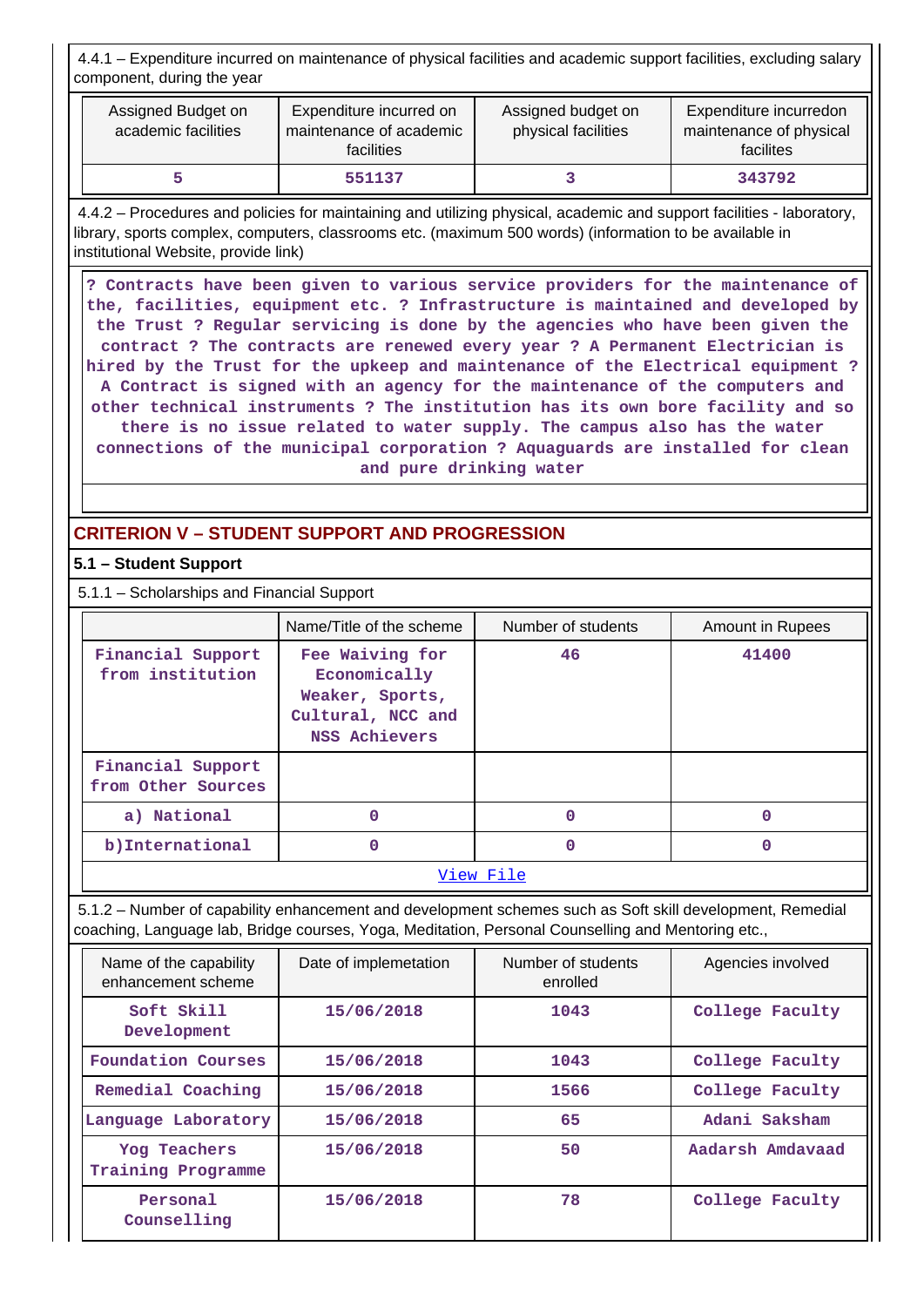4.4.1 – Expenditure incurred on maintenance of physical facilities and academic support facilities, excluding salary component, during the year

| Assigned Budget on<br>academic facilities | Expenditure incurred on<br>maintenance of academic<br><b>facilities</b> | Assigned budget on<br>physical facilities | Expenditure incurredon<br>maintenance of physical<br>facilites |
|-------------------------------------------|-------------------------------------------------------------------------|-------------------------------------------|----------------------------------------------------------------|
|                                           | 551137                                                                  |                                           | 343792                                                         |

 4.4.2 – Procedures and policies for maintaining and utilizing physical, academic and support facilities - laboratory, library, sports complex, computers, classrooms etc. (maximum 500 words) (information to be available in institutional Website, provide link)

 **? Contracts have been given to various service providers for the maintenance of the, facilities, equipment etc. ? Infrastructure is maintained and developed by the Trust ? Regular servicing is done by the agencies who have been given the contract ? The contracts are renewed every year ? A Permanent Electrician is hired by the Trust for the upkeep and maintenance of the Electrical equipment ? A Contract is signed with an agency for the maintenance of the computers and other technical instruments ? The institution has its own bore facility and so there is no issue related to water supply. The campus also has the water connections of the municipal corporation ? Aquaguards are installed for clean and pure drinking water**

# **CRITERION V – STUDENT SUPPORT AND PROGRESSION**

## **5.1 – Student Support**

5.1.1 – Scholarships and Financial Support

|                                         | Name/Title of the scheme                                                                        | Number of students | Amount in Rupees |  |  |
|-----------------------------------------|-------------------------------------------------------------------------------------------------|--------------------|------------------|--|--|
| Financial Support<br>from institution   | Fee Waiving for<br>Economically<br>Weaker, Sports,<br>Cultural, NCC and<br><b>NSS Achievers</b> | 46                 | 41400            |  |  |
| Financial Support<br>from Other Sources |                                                                                                 |                    |                  |  |  |
| a) National                             | O                                                                                               | $\Omega$           |                  |  |  |
| b) International                        | O                                                                                               | $\Omega$           | n                |  |  |
| View File                               |                                                                                                 |                    |                  |  |  |

 5.1.2 – Number of capability enhancement and development schemes such as Soft skill development, Remedial coaching, Language lab, Bridge courses, Yoga, Meditation, Personal Counselling and Mentoring etc.,

| Name of the capability<br>enhancement scheme | Date of implemetation | Number of students<br>enrolled | Agencies involved |
|----------------------------------------------|-----------------------|--------------------------------|-------------------|
| Soft Skill<br>Development                    | 15/06/2018            | 1043                           | College Faculty   |
| Foundation Courses                           | 15/06/2018            | 1043                           | College Faculty   |
| Remedial Coaching                            | 15/06/2018            | 1566                           | College Faculty   |
| Language Laboratory                          | 15/06/2018            | 65                             | Adani Saksham     |
| Yog Teachers<br>Training Programme           | 15/06/2018            | 50                             | Aadarsh Amdavaad  |
| Personal<br>Counselling                      | 15/06/2018            | 78                             | College Faculty   |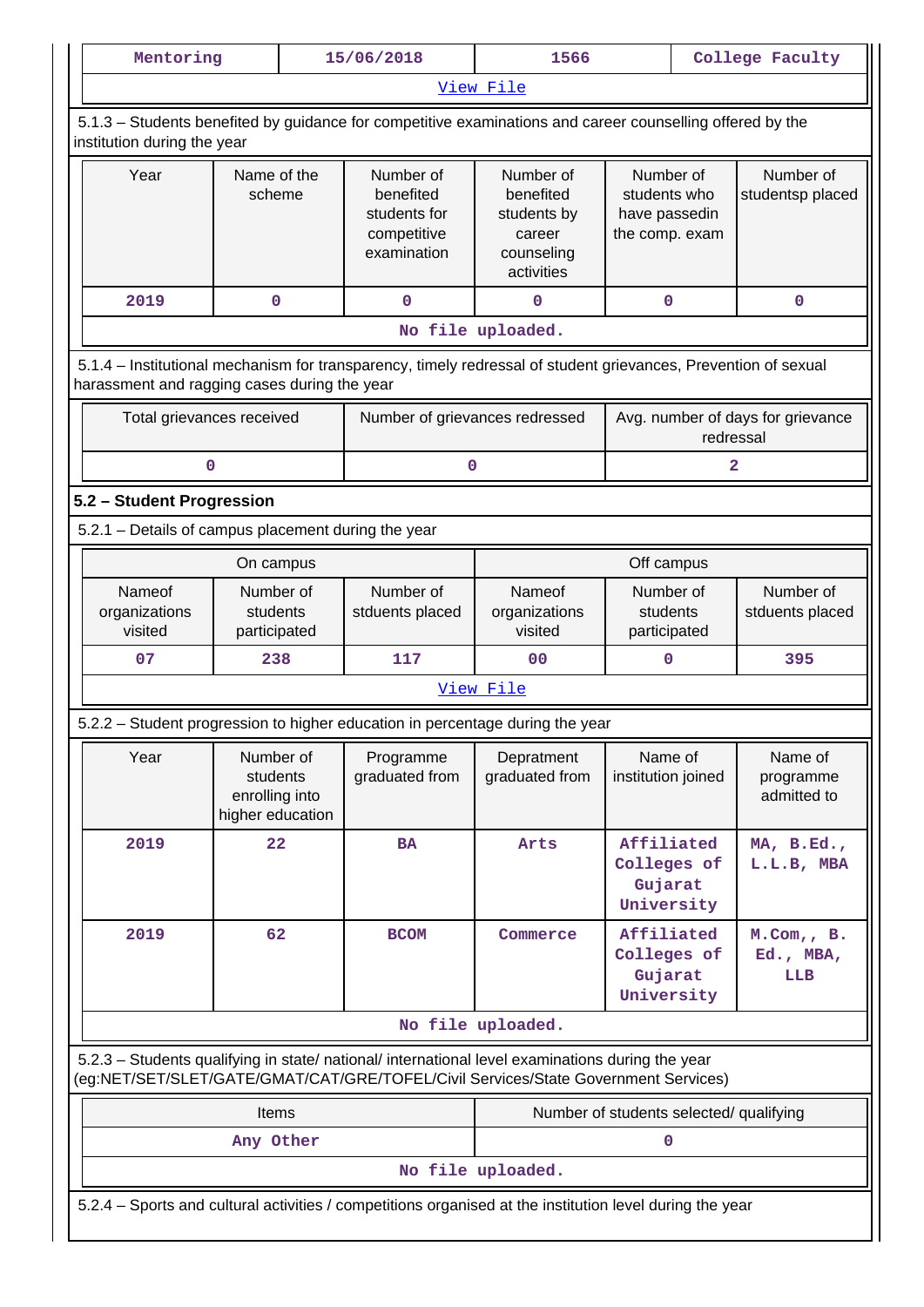| Mentoring                                                                                                                                |                                                             | 15/06/2018                                                                                                                                                                             | 1566                                                                        |                                                              | College Faculty |                                     |  |  |
|------------------------------------------------------------------------------------------------------------------------------------------|-------------------------------------------------------------|----------------------------------------------------------------------------------------------------------------------------------------------------------------------------------------|-----------------------------------------------------------------------------|--------------------------------------------------------------|-----------------|-------------------------------------|--|--|
|                                                                                                                                          |                                                             |                                                                                                                                                                                        | View File                                                                   |                                                              |                 |                                     |  |  |
| 5.1.3 - Students benefited by guidance for competitive examinations and career counselling offered by the<br>institution during the year |                                                             |                                                                                                                                                                                        |                                                                             |                                                              |                 |                                     |  |  |
| Year                                                                                                                                     | Name of the<br>scheme                                       |                                                                                                                                                                                        | Number of<br>benefited<br>students by<br>career<br>counseling<br>activities | Number of<br>students who<br>have passedin<br>the comp. exam |                 | Number of<br>studentsp placed       |  |  |
| 2019                                                                                                                                     | 0                                                           | $\mathbf 0$                                                                                                                                                                            | 0                                                                           | $\mathbf 0$                                                  |                 | $\mathbf 0$                         |  |  |
|                                                                                                                                          |                                                             |                                                                                                                                                                                        | No file uploaded.                                                           |                                                              |                 |                                     |  |  |
| harassment and ragging cases during the year                                                                                             |                                                             | 5.1.4 – Institutional mechanism for transparency, timely redressal of student grievances, Prevention of sexual                                                                         |                                                                             |                                                              |                 |                                     |  |  |
|                                                                                                                                          | Total grievances received                                   | Number of grievances redressed                                                                                                                                                         |                                                                             |                                                              | redressal       | Avg. number of days for grievance   |  |  |
| 0                                                                                                                                        |                                                             | 0                                                                                                                                                                                      |                                                                             |                                                              | 2               |                                     |  |  |
| 5.2 - Student Progression                                                                                                                |                                                             |                                                                                                                                                                                        |                                                                             |                                                              |                 |                                     |  |  |
| 5.2.1 - Details of campus placement during the year                                                                                      |                                                             |                                                                                                                                                                                        |                                                                             |                                                              |                 |                                     |  |  |
|                                                                                                                                          | On campus                                                   |                                                                                                                                                                                        |                                                                             | Off campus                                                   |                 |                                     |  |  |
| Nameof<br>organizations<br>visited                                                                                                       | Number of<br>students<br>participated                       | Number of<br>stduents placed                                                                                                                                                           | Nameof<br>organizations<br>visited                                          | Number of<br>students<br>participated                        |                 | Number of<br>stduents placed        |  |  |
| 07                                                                                                                                       | 238                                                         |                                                                                                                                                                                        | 0 <sub>0</sub>                                                              | $\mathbf 0$                                                  |                 | 395                                 |  |  |
|                                                                                                                                          |                                                             |                                                                                                                                                                                        | View File                                                                   |                                                              |                 |                                     |  |  |
|                                                                                                                                          |                                                             | 5.2.2 – Student progression to higher education in percentage during the year                                                                                                          |                                                                             |                                                              |                 |                                     |  |  |
| Year                                                                                                                                     | Number of<br>students<br>enrolling into<br>higher education | Programme<br>graduated from                                                                                                                                                            | Depratment<br>graduated from                                                | Name of<br>institution joined                                |                 | Name of<br>programme<br>admitted to |  |  |
| 2019                                                                                                                                     | 22                                                          | <b>BA</b>                                                                                                                                                                              | Arts                                                                        | Affiliated<br>Colleges of<br>Gujarat<br>University           |                 | MA, B.Ed.,<br>L.L.B, MBA            |  |  |
| 2019                                                                                                                                     | 62                                                          | <b>BCOM</b>                                                                                                                                                                            | Commerce                                                                    | Affiliated<br>Colleges of<br>Gujarat<br>University           |                 | $M.$ Com,, B.<br>Ed., MBA,<br>LLB   |  |  |
|                                                                                                                                          |                                                             |                                                                                                                                                                                        | No file uploaded.                                                           |                                                              |                 |                                     |  |  |
|                                                                                                                                          |                                                             | 5.2.3 - Students qualifying in state/ national/ international level examinations during the year<br>(eg:NET/SET/SLET/GATE/GMAT/CAT/GRE/TOFEL/Civil Services/State Government Services) |                                                                             |                                                              |                 |                                     |  |  |
|                                                                                                                                          | Items                                                       |                                                                                                                                                                                        |                                                                             | Number of students selected/ qualifying                      |                 |                                     |  |  |
|                                                                                                                                          | Any Other                                                   |                                                                                                                                                                                        |                                                                             | 0                                                            |                 |                                     |  |  |
|                                                                                                                                          |                                                             |                                                                                                                                                                                        | No file uploaded.                                                           |                                                              |                 |                                     |  |  |
|                                                                                                                                          |                                                             | 5.2.4 – Sports and cultural activities / competitions organised at the institution level during the year                                                                               |                                                                             |                                                              |                 |                                     |  |  |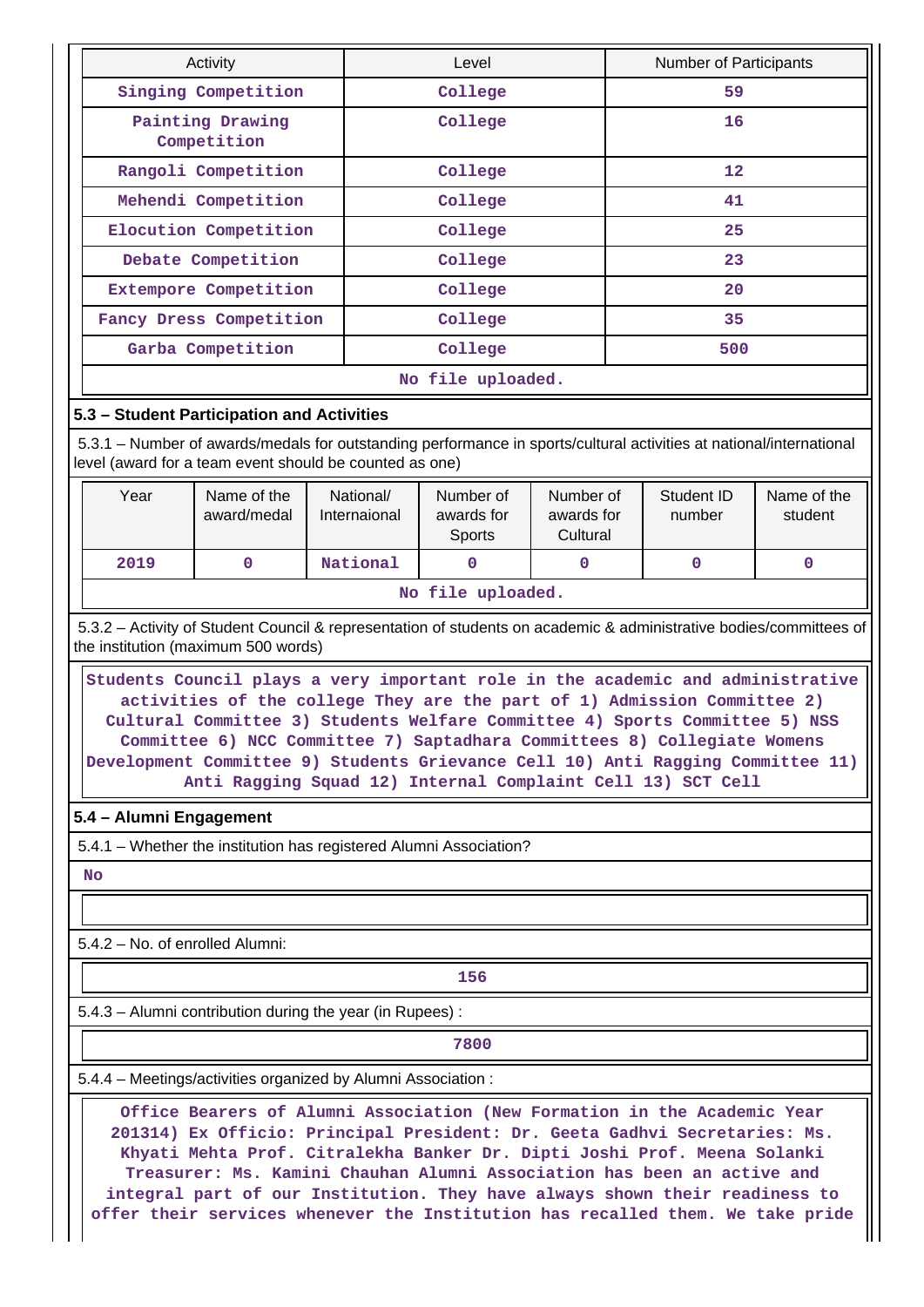|                                                                                                                                                                                |                                                          | Activity                                                                                                                                                                                                                                                                                                                                                                                                                                                                 |                           | Level                             |                                     |    | <b>Number of Participants</b> |                        |  |
|--------------------------------------------------------------------------------------------------------------------------------------------------------------------------------|----------------------------------------------------------|--------------------------------------------------------------------------------------------------------------------------------------------------------------------------------------------------------------------------------------------------------------------------------------------------------------------------------------------------------------------------------------------------------------------------------------------------------------------------|---------------------------|-----------------------------------|-------------------------------------|----|-------------------------------|------------------------|--|
|                                                                                                                                                                                |                                                          | Singing Competition                                                                                                                                                                                                                                                                                                                                                                                                                                                      |                           | College                           |                                     | 59 |                               |                        |  |
|                                                                                                                                                                                |                                                          | Painting Drawing<br>Competition                                                                                                                                                                                                                                                                                                                                                                                                                                          |                           | College                           |                                     | 16 |                               |                        |  |
|                                                                                                                                                                                |                                                          | Rangoli Competition                                                                                                                                                                                                                                                                                                                                                                                                                                                      |                           | College                           |                                     | 12 |                               |                        |  |
|                                                                                                                                                                                |                                                          | Mehendi Competition                                                                                                                                                                                                                                                                                                                                                                                                                                                      |                           | College                           |                                     |    | 41                            |                        |  |
|                                                                                                                                                                                |                                                          | Elocution Competition                                                                                                                                                                                                                                                                                                                                                                                                                                                    |                           | College                           |                                     |    | 25                            |                        |  |
|                                                                                                                                                                                |                                                          | Debate Competition                                                                                                                                                                                                                                                                                                                                                                                                                                                       |                           | College                           |                                     |    | 23                            |                        |  |
|                                                                                                                                                                                |                                                          | Extempore Competition                                                                                                                                                                                                                                                                                                                                                                                                                                                    |                           | College                           |                                     |    | 20                            |                        |  |
|                                                                                                                                                                                |                                                          | Fancy Dress Competition                                                                                                                                                                                                                                                                                                                                                                                                                                                  |                           | College                           |                                     |    | 35                            |                        |  |
|                                                                                                                                                                                |                                                          | Garba Competition                                                                                                                                                                                                                                                                                                                                                                                                                                                        |                           | College                           |                                     |    | 500                           |                        |  |
|                                                                                                                                                                                |                                                          |                                                                                                                                                                                                                                                                                                                                                                                                                                                                          |                           | No file uploaded.                 |                                     |    |                               |                        |  |
|                                                                                                                                                                                |                                                          | 5.3 - Student Participation and Activities                                                                                                                                                                                                                                                                                                                                                                                                                               |                           |                                   |                                     |    |                               |                        |  |
| 5.3.1 – Number of awards/medals for outstanding performance in sports/cultural activities at national/international<br>level (award for a team event should be counted as one) |                                                          |                                                                                                                                                                                                                                                                                                                                                                                                                                                                          |                           |                                   |                                     |    |                               |                        |  |
|                                                                                                                                                                                | Year                                                     | Name of the<br>award/medal                                                                                                                                                                                                                                                                                                                                                                                                                                               | National/<br>Internaional | Number of<br>awards for<br>Sports | Number of<br>awards for<br>Cultural |    | Student ID<br>number          | Name of the<br>student |  |
|                                                                                                                                                                                | 2019                                                     | 0                                                                                                                                                                                                                                                                                                                                                                                                                                                                        | National                  | $\Omega$                          | 0                                   |    | $\mathbf 0$                   | $\mathbf{0}$           |  |
|                                                                                                                                                                                | No file uploaded.                                        |                                                                                                                                                                                                                                                                                                                                                                                                                                                                          |                           |                                   |                                     |    |                               |                        |  |
|                                                                                                                                                                                |                                                          | Students Council plays a very important role in the academic and administrative<br>activities of the college They are the part of 1) Admission Committee 2)<br>Cultural Committee 3) Students Welfare Committee 4) Sports Committee 5) NSS<br>Committee 6) NCC Committee 7) Saptadhara Committees 8) Collegiate Womens<br>Development Committee 9) Students Grievance Cell 10) Anti Ragging Committee 11)<br>Anti Ragging Squad 12) Internal Complaint Cell 13) SCT Cell |                           |                                   |                                     |    |                               |                        |  |
|                                                                                                                                                                                | 5.4 - Alumni Engagement                                  |                                                                                                                                                                                                                                                                                                                                                                                                                                                                          |                           |                                   |                                     |    |                               |                        |  |
|                                                                                                                                                                                |                                                          | 5.4.1 - Whether the institution has registered Alumni Association?                                                                                                                                                                                                                                                                                                                                                                                                       |                           |                                   |                                     |    |                               |                        |  |
|                                                                                                                                                                                | No                                                       |                                                                                                                                                                                                                                                                                                                                                                                                                                                                          |                           |                                   |                                     |    |                               |                        |  |
|                                                                                                                                                                                |                                                          |                                                                                                                                                                                                                                                                                                                                                                                                                                                                          |                           |                                   |                                     |    |                               |                        |  |
|                                                                                                                                                                                | 5.4.2 - No. of enrolled Alumni:                          |                                                                                                                                                                                                                                                                                                                                                                                                                                                                          |                           |                                   |                                     |    |                               |                        |  |
|                                                                                                                                                                                |                                                          |                                                                                                                                                                                                                                                                                                                                                                                                                                                                          |                           | 156                               |                                     |    |                               |                        |  |
|                                                                                                                                                                                | 5.4.3 - Alumni contribution during the year (in Rupees): |                                                                                                                                                                                                                                                                                                                                                                                                                                                                          |                           |                                   |                                     |    |                               |                        |  |
|                                                                                                                                                                                |                                                          | 7800                                                                                                                                                                                                                                                                                                                                                                                                                                                                     |                           |                                   |                                     |    |                               |                        |  |
|                                                                                                                                                                                |                                                          |                                                                                                                                                                                                                                                                                                                                                                                                                                                                          |                           |                                   |                                     |    |                               |                        |  |
|                                                                                                                                                                                |                                                          | 5.4.4 - Meetings/activities organized by Alumni Association:                                                                                                                                                                                                                                                                                                                                                                                                             |                           |                                   |                                     |    |                               |                        |  |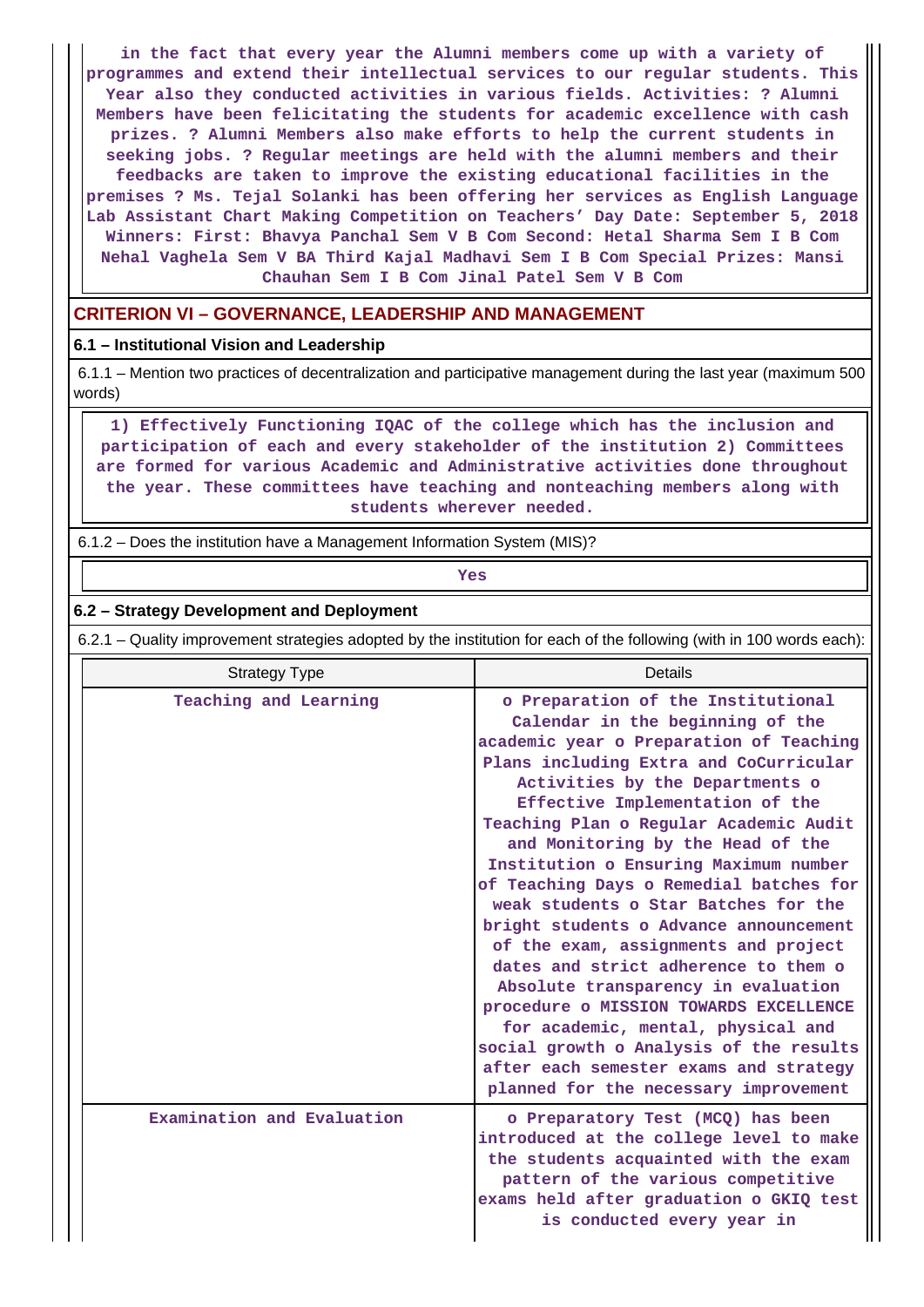**in the fact that every year the Alumni members come up with a variety of programmes and extend their intellectual services to our regular students. This Year also they conducted activities in various fields. Activities: ? Alumni Members have been felicitating the students for academic excellence with cash prizes. ? Alumni Members also make efforts to help the current students in seeking jobs. ? Regular meetings are held with the alumni members and their feedbacks are taken to improve the existing educational facilities in the premises ? Ms. Tejal Solanki has been offering her services as English Language Lab Assistant Chart Making Competition on Teachers' Day Date: September 5, 2018 Winners: First: Bhavya Panchal Sem V B Com Second: Hetal Sharma Sem I B Com Nehal Vaghela Sem V BA Third Kajal Madhavi Sem I B Com Special Prizes: Mansi Chauhan Sem I B Com Jinal Patel Sem V B Com**

## **CRITERION VI – GOVERNANCE, LEADERSHIP AND MANAGEMENT**

### **6.1 – Institutional Vision and Leadership**

 6.1.1 – Mention two practices of decentralization and participative management during the last year (maximum 500 words)

 **1) Effectively Functioning IQAC of the college which has the inclusion and participation of each and every stakeholder of the institution 2) Committees are formed for various Academic and Administrative activities done throughout the year. These committees have teaching and nonteaching members along with students wherever needed.**

6.1.2 – Does the institution have a Management Information System (MIS)?

*Yes* 

#### **6.2 – Strategy Development and Deployment**

6.2.1 – Quality improvement strategies adopted by the institution for each of the following (with in 100 words each):

| <b>Strategy Type</b>       | Details                                                                                                                                                                                                                                                                                                                                                                                                                                                                                                                                                                                                                                                                                                                                                                                                                     |  |  |  |
|----------------------------|-----------------------------------------------------------------------------------------------------------------------------------------------------------------------------------------------------------------------------------------------------------------------------------------------------------------------------------------------------------------------------------------------------------------------------------------------------------------------------------------------------------------------------------------------------------------------------------------------------------------------------------------------------------------------------------------------------------------------------------------------------------------------------------------------------------------------------|--|--|--|
| Teaching and Learning      | o Preparation of the Institutional<br>Calendar in the beginning of the<br>academic year o Preparation of Teaching<br>Plans including Extra and CoCurricular<br>Activities by the Departments o<br>Effective Implementation of the<br>Teaching Plan o Regular Academic Audit<br>and Monitoring by the Head of the<br>Institution o Ensuring Maximum number<br>of Teaching Days o Remedial batches for<br>weak students o Star Batches for the<br>bright students o Advance announcement<br>of the exam, assignments and project<br>dates and strict adherence to them o<br>Absolute transparency in evaluation<br>procedure o MISSION TOWARDS EXCELLENCE<br>for academic, mental, physical and<br>social growth o Analysis of the results<br>after each semester exams and strategy<br>planned for the necessary improvement |  |  |  |
| Examination and Evaluation | o Preparatory Test (MCQ) has been<br>introduced at the college level to make<br>the students acquainted with the exam<br>pattern of the various competitive<br>exams held after graduation o GKIQ test<br>is conducted every year in                                                                                                                                                                                                                                                                                                                                                                                                                                                                                                                                                                                        |  |  |  |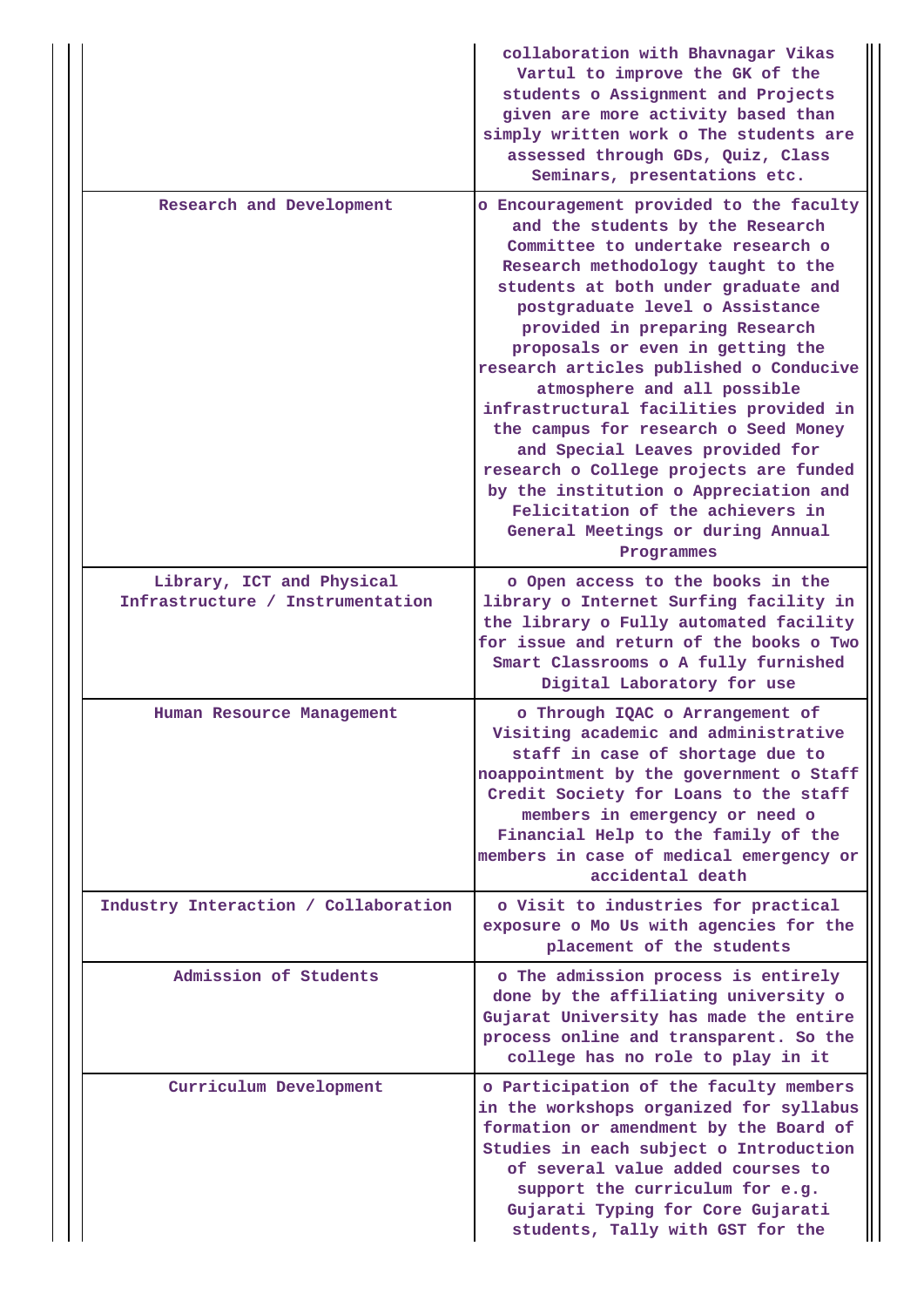|                                                               | collaboration with Bhavnagar Vikas<br>Vartul to improve the GK of the<br>students o Assignment and Projects<br>given are more activity based than<br>simply written work o The students are<br>assessed through GDs, Quiz, Class<br>Seminars, presentations etc.                                                                                                                                                                                                                                                                                                                                                                                                                |  |  |  |  |  |
|---------------------------------------------------------------|---------------------------------------------------------------------------------------------------------------------------------------------------------------------------------------------------------------------------------------------------------------------------------------------------------------------------------------------------------------------------------------------------------------------------------------------------------------------------------------------------------------------------------------------------------------------------------------------------------------------------------------------------------------------------------|--|--|--|--|--|
| Research and Development                                      | o Encouragement provided to the faculty<br>and the students by the Research<br>Committee to undertake research o<br>Research methodology taught to the<br>students at both under graduate and<br>postgraduate level o Assistance<br>provided in preparing Research<br>proposals or even in getting the<br>research articles published o Conducive<br>atmosphere and all possible<br>infrastructural facilities provided in<br>the campus for research o Seed Money<br>and Special Leaves provided for<br>research o College projects are funded<br>by the institution o Appreciation and<br>Felicitation of the achievers in<br>General Meetings or during Annual<br>Programmes |  |  |  |  |  |
| Library, ICT and Physical<br>Infrastructure / Instrumentation | o Open access to the books in the<br>library o Internet Surfing facility in<br>the library o Fully automated facility<br>for issue and return of the books o Two<br>Smart Classrooms o A fully furnished<br>Digital Laboratory for use                                                                                                                                                                                                                                                                                                                                                                                                                                          |  |  |  |  |  |
| Human Resource Management                                     | o Through IQAC o Arrangement of<br>Visiting academic and administrative<br>staff in case of shortage due to<br>noappointment by the government o Staff<br>Credit Society for Loans to the staff<br>members in emergency or need o<br>Financial Help to the family of the<br>members in case of medical emergency or<br>accidental death                                                                                                                                                                                                                                                                                                                                         |  |  |  |  |  |
| Industry Interaction / Collaboration                          | o Visit to industries for practical<br>exposure o Mo Us with agencies for the<br>placement of the students                                                                                                                                                                                                                                                                                                                                                                                                                                                                                                                                                                      |  |  |  |  |  |
| Admission of Students                                         | o The admission process is entirely<br>done by the affiliating university o<br>Gujarat University has made the entire<br>process online and transparent. So the<br>college has no role to play in it                                                                                                                                                                                                                                                                                                                                                                                                                                                                            |  |  |  |  |  |
| Curriculum Development                                        | o Participation of the faculty members<br>in the workshops organized for syllabus<br>formation or amendment by the Board of<br>Studies in each subject o Introduction<br>of several value added courses to<br>support the curriculum for e.g.<br>Gujarati Typing for Core Gujarati<br>students, Tally with GST for the                                                                                                                                                                                                                                                                                                                                                          |  |  |  |  |  |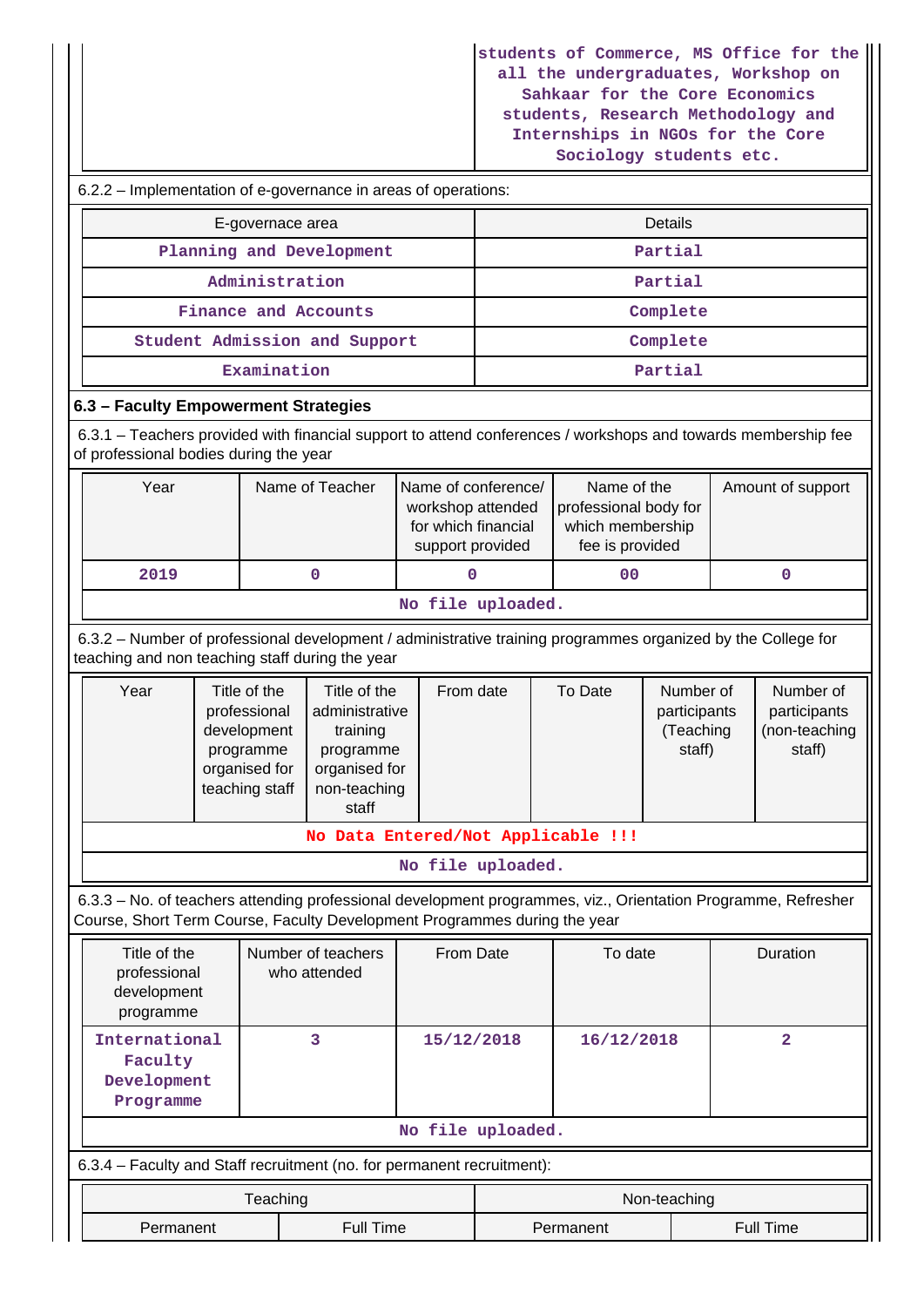**students of Commerce, MS Office for the all the undergraduates, Workshop on Sahkaar for the Core Economics students, Research Methodology and Internships in NGOs for the Core Sociology students etc.**

|                                                                                                                                                                                                          |                          |                                    |                               |                                                                                     |  | pocroindly prodence ere.           |                                                                             |  |                                                      |  |
|----------------------------------------------------------------------------------------------------------------------------------------------------------------------------------------------------------|--------------------------|------------------------------------|-------------------------------|-------------------------------------------------------------------------------------|--|------------------------------------|-----------------------------------------------------------------------------|--|------------------------------------------------------|--|
| 6.2.2 - Implementation of e-governance in areas of operations:                                                                                                                                           |                          |                                    |                               |                                                                                     |  |                                    |                                                                             |  |                                                      |  |
| E-governace area                                                                                                                                                                                         |                          |                                    |                               |                                                                                     |  | <b>Details</b>                     |                                                                             |  |                                                      |  |
|                                                                                                                                                                                                          | Planning and Development |                                    | Partial                       |                                                                                     |  |                                    |                                                                             |  |                                                      |  |
|                                                                                                                                                                                                          | Administration           |                                    |                               | Partial                                                                             |  |                                    |                                                                             |  |                                                      |  |
|                                                                                                                                                                                                          |                          |                                    | Finance and Accounts          |                                                                                     |  |                                    | Complete                                                                    |  |                                                      |  |
|                                                                                                                                                                                                          |                          |                                    | Student Admission and Support |                                                                                     |  |                                    | Complete                                                                    |  |                                                      |  |
|                                                                                                                                                                                                          |                          | Examination                        |                               |                                                                                     |  |                                    | Partial                                                                     |  |                                                      |  |
| 6.3 - Faculty Empowerment Strategies                                                                                                                                                                     |                          |                                    |                               |                                                                                     |  |                                    |                                                                             |  |                                                      |  |
| 6.3.1 – Teachers provided with financial support to attend conferences / workshops and towards membership fee<br>of professional bodies during the year                                                  |                          |                                    |                               |                                                                                     |  |                                    |                                                                             |  |                                                      |  |
| Year                                                                                                                                                                                                     |                          |                                    | Name of Teacher               | Name of conference/<br>workshop attended<br>for which financial<br>support provided |  |                                    | Name of the<br>professional body for<br>which membership<br>fee is provided |  | Amount of support                                    |  |
| 2019                                                                                                                                                                                                     |                          |                                    | 0                             | 0                                                                                   |  | 0 <sub>0</sub>                     |                                                                             |  | $\mathbf 0$                                          |  |
|                                                                                                                                                                                                          |                          |                                    |                               | No file uploaded.                                                                   |  |                                    |                                                                             |  |                                                      |  |
| 6.3.2 - Number of professional development / administrative training programmes organized by the College for<br>teaching and non teaching staff during the year                                          |                          |                                    |                               |                                                                                     |  |                                    |                                                                             |  |                                                      |  |
| Title of the<br>Year<br>Title of the<br>professional<br>administrative<br>development<br>training<br>programme<br>programme<br>organised for<br>organised for<br>teaching staff<br>non-teaching<br>staff |                          |                                    |                               | From date                                                                           |  | To Date                            | Number of<br>participants<br>(Teaching<br>staff)                            |  | Number of<br>participants<br>(non-teaching<br>staff) |  |
|                                                                                                                                                                                                          |                          |                                    |                               |                                                                                     |  | No Data Entered/Not Applicable !!! |                                                                             |  |                                                      |  |
|                                                                                                                                                                                                          |                          |                                    |                               | No file uploaded.                                                                   |  |                                    |                                                                             |  |                                                      |  |
| 6.3.3 - No. of teachers attending professional development programmes, viz., Orientation Programme, Refresher<br>Course, Short Term Course, Faculty Development Programmes during the year               |                          |                                    |                               |                                                                                     |  |                                    |                                                                             |  |                                                      |  |
| Title of the<br>professional<br>development<br>programme                                                                                                                                                 |                          | Number of teachers<br>who attended |                               | From Date<br>To date                                                                |  | Duration                           |                                                                             |  |                                                      |  |
| International<br>3<br>Faculty<br>Development<br>Programme                                                                                                                                                |                          | 15/12/2018<br>16/12/2018           |                               |                                                                                     |  | $\overline{\mathbf{2}}$            |                                                                             |  |                                                      |  |
|                                                                                                                                                                                                          |                          |                                    |                               | No file uploaded.                                                                   |  |                                    |                                                                             |  |                                                      |  |
| 6.3.4 - Faculty and Staff recruitment (no. for permanent recruitment):                                                                                                                                   |                          |                                    |                               |                                                                                     |  |                                    |                                                                             |  |                                                      |  |
|                                                                                                                                                                                                          |                          | Teaching                           |                               |                                                                                     |  |                                    | Non-teaching                                                                |  |                                                      |  |
| Permanent                                                                                                                                                                                                |                          | <b>Full Time</b>                   | <b>Full Time</b><br>Permanent |                                                                                     |  |                                    |                                                                             |  |                                                      |  |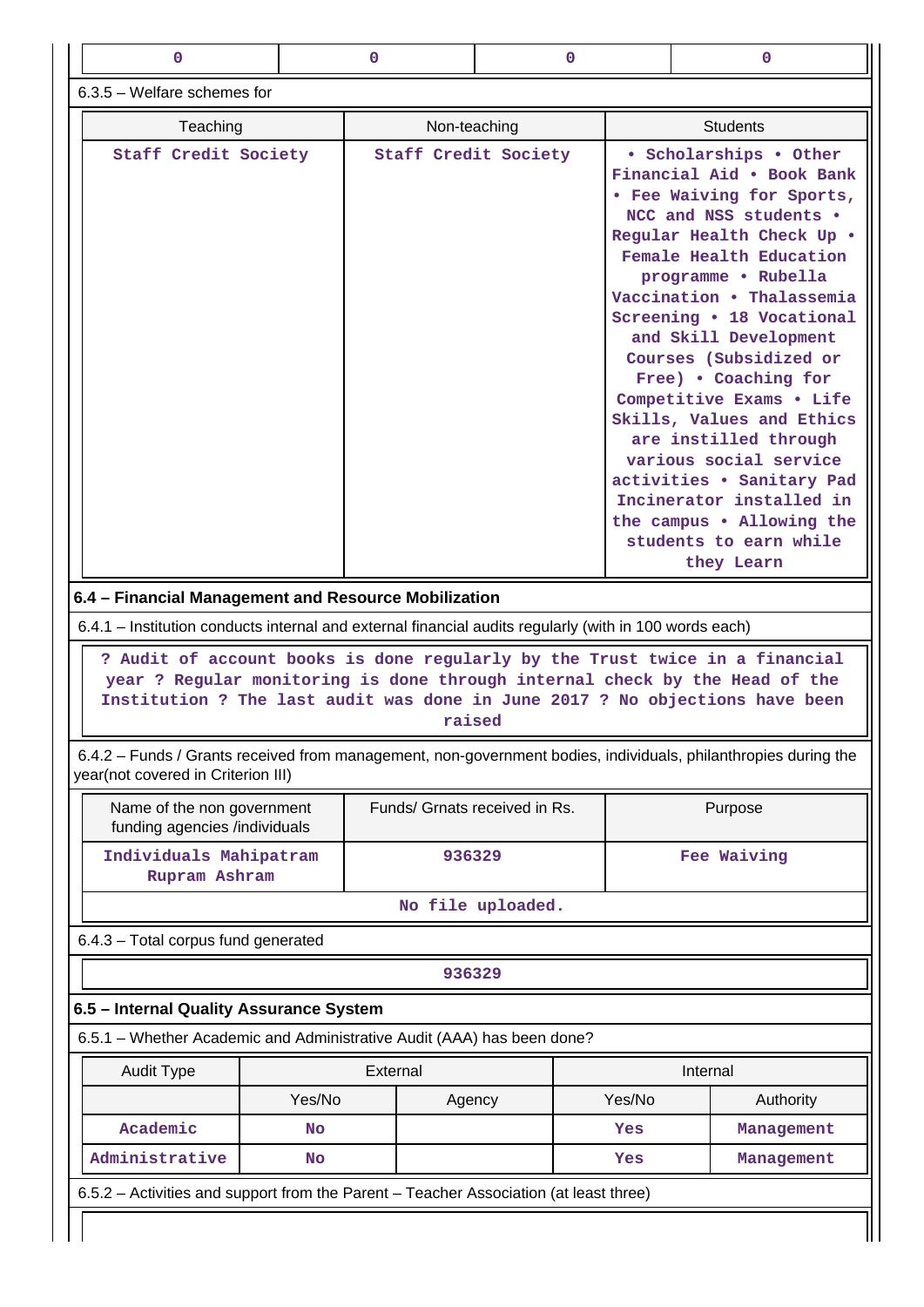| $\mathbf 0$                                                                                                                                                                                                                                                                                                                                                                  |           | 0<br>0                        |                   | $\mathbf 0$                                                                                                                                                                                                                                                                                                                                                                                                                                                                                                                                                              |                                                                                                                                                                                                                                             |  |
|------------------------------------------------------------------------------------------------------------------------------------------------------------------------------------------------------------------------------------------------------------------------------------------------------------------------------------------------------------------------------|-----------|-------------------------------|-------------------|--------------------------------------------------------------------------------------------------------------------------------------------------------------------------------------------------------------------------------------------------------------------------------------------------------------------------------------------------------------------------------------------------------------------------------------------------------------------------------------------------------------------------------------------------------------------------|---------------------------------------------------------------------------------------------------------------------------------------------------------------------------------------------------------------------------------------------|--|
| $6.3.5$ – Welfare schemes for                                                                                                                                                                                                                                                                                                                                                |           |                               |                   |                                                                                                                                                                                                                                                                                                                                                                                                                                                                                                                                                                          |                                                                                                                                                                                                                                             |  |
| Teaching                                                                                                                                                                                                                                                                                                                                                                     |           | Non-teaching                  |                   | <b>Students</b>                                                                                                                                                                                                                                                                                                                                                                                                                                                                                                                                                          |                                                                                                                                                                                                                                             |  |
| Staff Credit Society                                                                                                                                                                                                                                                                                                                                                         |           | Staff Credit Society          |                   | • Scholarships • Other<br>Financial Aid . Book Bank<br>• Fee Waiving for Sports,<br>NCC and NSS students .<br>Regular Health Check Up .<br>Female Health Education<br>programme . Rubella<br>Vaccination . Thalassemia<br>Screening . 18 Vocational<br>and Skill Development<br>Courses (Subsidized or<br>Free) . Coaching for<br>Competitive Exams . Life<br>Skills, Values and Ethics<br>are instilled through<br>various social service<br>activities . Sanitary Pad<br>Incinerator installed in<br>the campus . Allowing the<br>students to earn while<br>they Learn |                                                                                                                                                                                                                                             |  |
|                                                                                                                                                                                                                                                                                                                                                                              |           |                               |                   |                                                                                                                                                                                                                                                                                                                                                                                                                                                                                                                                                                          |                                                                                                                                                                                                                                             |  |
|                                                                                                                                                                                                                                                                                                                                                                              |           | raised                        |                   |                                                                                                                                                                                                                                                                                                                                                                                                                                                                                                                                                                          | ? Audit of account books is done regularly by the Trust twice in a financial<br>year ? Regular monitoring is done through internal check by the Head of the<br>Institution ? The last audit was done in June 2017 ? No objections have been |  |
|                                                                                                                                                                                                                                                                                                                                                                              |           |                               |                   |                                                                                                                                                                                                                                                                                                                                                                                                                                                                                                                                                                          | 6.4.2 - Funds / Grants received from management, non-government bodies, individuals, philanthropies during the                                                                                                                              |  |
| Name of the non government<br>funding agencies /individuals                                                                                                                                                                                                                                                                                                                  |           | Funds/ Grnats received in Rs. |                   |                                                                                                                                                                                                                                                                                                                                                                                                                                                                                                                                                                          | Purpose                                                                                                                                                                                                                                     |  |
| Individuals Mahipatram<br>Rupram Ashram                                                                                                                                                                                                                                                                                                                                      |           | 936329                        |                   |                                                                                                                                                                                                                                                                                                                                                                                                                                                                                                                                                                          | Fee Waiving                                                                                                                                                                                                                                 |  |
|                                                                                                                                                                                                                                                                                                                                                                              |           |                               | No file uploaded. |                                                                                                                                                                                                                                                                                                                                                                                                                                                                                                                                                                          |                                                                                                                                                                                                                                             |  |
|                                                                                                                                                                                                                                                                                                                                                                              |           |                               |                   |                                                                                                                                                                                                                                                                                                                                                                                                                                                                                                                                                                          |                                                                                                                                                                                                                                             |  |
|                                                                                                                                                                                                                                                                                                                                                                              |           | 936329                        |                   |                                                                                                                                                                                                                                                                                                                                                                                                                                                                                                                                                                          |                                                                                                                                                                                                                                             |  |
|                                                                                                                                                                                                                                                                                                                                                                              |           |                               |                   |                                                                                                                                                                                                                                                                                                                                                                                                                                                                                                                                                                          |                                                                                                                                                                                                                                             |  |
|                                                                                                                                                                                                                                                                                                                                                                              |           |                               |                   |                                                                                                                                                                                                                                                                                                                                                                                                                                                                                                                                                                          |                                                                                                                                                                                                                                             |  |
| <b>Audit Type</b>                                                                                                                                                                                                                                                                                                                                                            |           | External                      |                   |                                                                                                                                                                                                                                                                                                                                                                                                                                                                                                                                                                          | Internal                                                                                                                                                                                                                                    |  |
|                                                                                                                                                                                                                                                                                                                                                                              | Yes/No    | Agency                        |                   | Yes/No                                                                                                                                                                                                                                                                                                                                                                                                                                                                                                                                                                   | Authority                                                                                                                                                                                                                                   |  |
| 6.4 - Financial Management and Resource Mobilization<br>6.4.1 – Institution conducts internal and external financial audits regularly (with in 100 words each)<br>year(not covered in Criterion III)<br>6.4.3 - Total corpus fund generated<br>6.5 - Internal Quality Assurance System<br>6.5.1 - Whether Academic and Administrative Audit (AAA) has been done?<br>Academic | <b>No</b> |                               |                   | Yes                                                                                                                                                                                                                                                                                                                                                                                                                                                                                                                                                                      | Management                                                                                                                                                                                                                                  |  |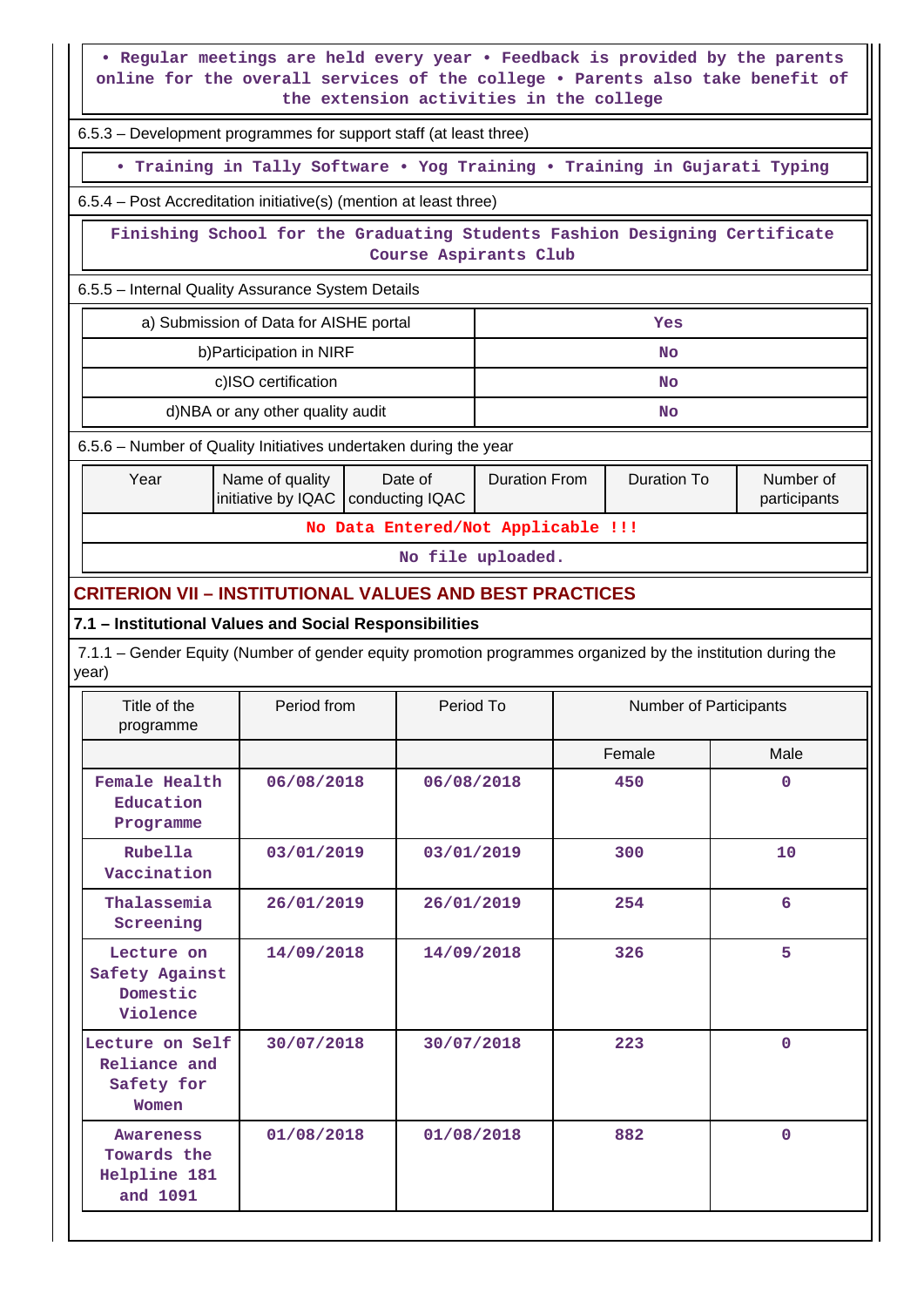**• Regular meetings are held every year • Feedback is provided by the parents online for the overall services of the college • Parents also take benefit of the extension activities in the college**

6.5.3 – Development programmes for support staff (at least three)

**• Training in Tally Software • Yog Training • Training in Gujarati Typing**

6.5.4 – Post Accreditation initiative(s) (mention at least three)

 **Finishing School for the Graduating Students Fashion Designing Certificate Course Aspirants Club**

6.5.5 – Internal Quality Assurance System Details

| a) Submission of Data for AISHE portal | Yes |
|----------------------------------------|-----|
| b) Participation in NIRF               | No  |
| c)ISO certification                    | No  |
| d)NBA or any other quality audit       | No  |

6.5.6 – Number of Quality Initiatives undertaken during the year

| Year                               | Name of quality<br>initiative by IQAC   conducting IQAC | Date of | Duration From | Duration To | Number of<br>participants |  |  |  |
|------------------------------------|---------------------------------------------------------|---------|---------------|-------------|---------------------------|--|--|--|
| No Data Entered/Not Applicable !!! |                                                         |         |               |             |                           |  |  |  |

**No file uploaded.**

### **CRITERION VII – INSTITUTIONAL VALUES AND BEST PRACTICES**

#### **7.1 – Institutional Values and Social Responsibilities**

 7.1.1 – Gender Equity (Number of gender equity promotion programmes organized by the institution during the year)

| Title of the<br>programme                                   | Period from | Period To  | Number of Participants |             |
|-------------------------------------------------------------|-------------|------------|------------------------|-------------|
|                                                             |             |            | Female                 | Male        |
| Female Health<br>Education<br>Programme                     | 06/08/2018  | 06/08/2018 | 450                    | $\mathbf 0$ |
| Rubella<br>Vaccination                                      | 03/01/2019  | 03/01/2019 | 300                    | 10          |
| Thalassemia<br>Screening                                    | 26/01/2019  | 26/01/2019 | 254                    | 6           |
| Lecture on<br>Safety Against<br>Domestic<br>Violence        | 14/09/2018  | 14/09/2018 | 326                    | 5           |
| Lecture on Self<br>Reliance and<br>Safety for<br>Women      | 30/07/2018  | 30/07/2018 | 223                    | $\mathbf 0$ |
| <b>Awareness</b><br>Towards the<br>Helpline 181<br>and 1091 | 01/08/2018  | 01/08/2018 | 882                    | $\mathbf 0$ |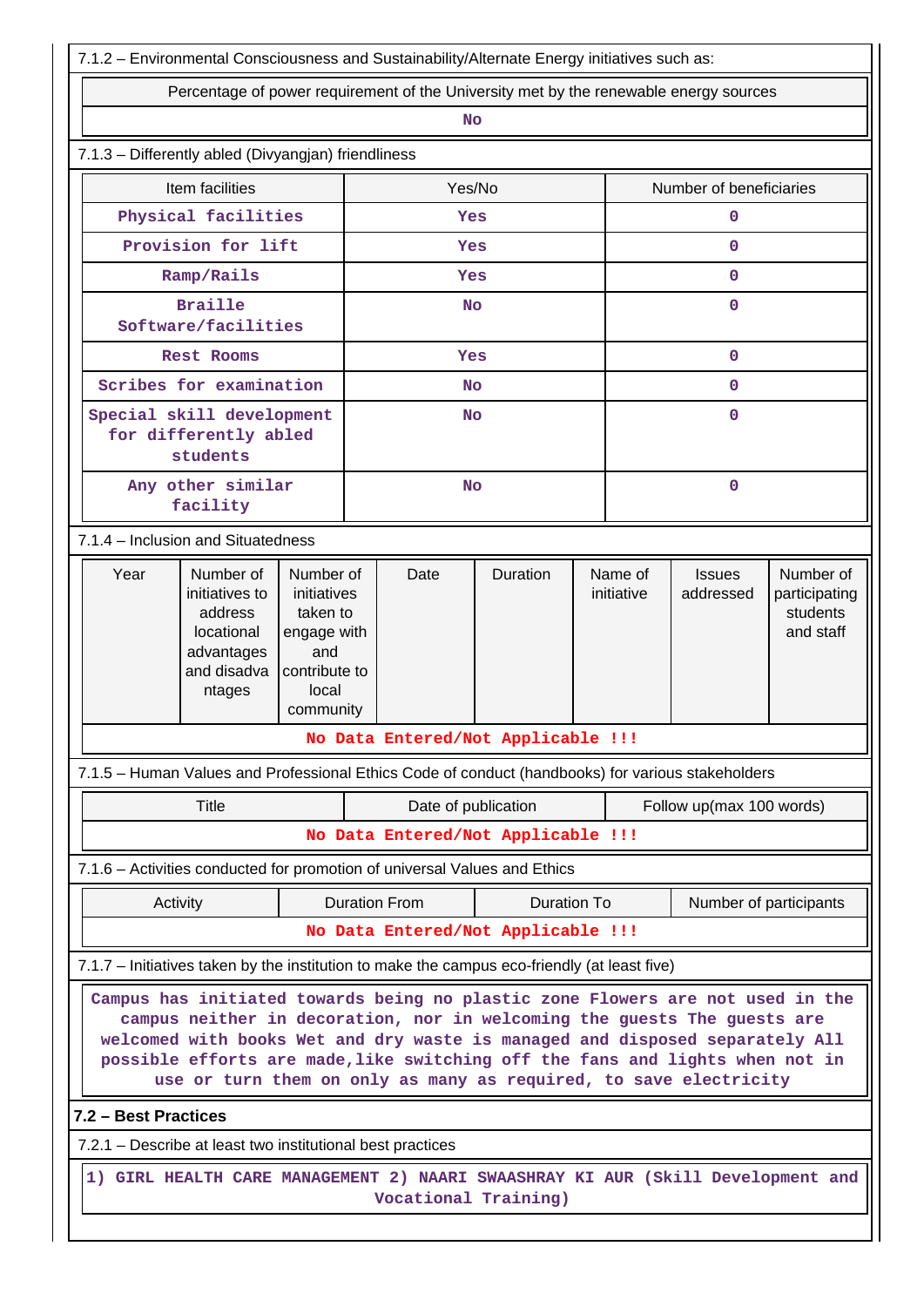| 7.1.2 - Environmental Consciousness and Sustainability/Alternate Energy initiatives such as:                                                                                                                                                                                                                                                                                                     |                                                                                                                                                                                                  |  |           |                                    |                    |              |                         |                            |                                                     |  |
|--------------------------------------------------------------------------------------------------------------------------------------------------------------------------------------------------------------------------------------------------------------------------------------------------------------------------------------------------------------------------------------------------|--------------------------------------------------------------------------------------------------------------------------------------------------------------------------------------------------|--|-----------|------------------------------------|--------------------|--------------|-------------------------|----------------------------|-----------------------------------------------------|--|
| Percentage of power requirement of the University met by the renewable energy sources                                                                                                                                                                                                                                                                                                            |                                                                                                                                                                                                  |  |           |                                    |                    |              |                         |                            |                                                     |  |
| <b>No</b>                                                                                                                                                                                                                                                                                                                                                                                        |                                                                                                                                                                                                  |  |           |                                    |                    |              |                         |                            |                                                     |  |
| 7.1.3 - Differently abled (Divyangjan) friendliness                                                                                                                                                                                                                                                                                                                                              |                                                                                                                                                                                                  |  |           |                                    |                    |              |                         |                            |                                                     |  |
|                                                                                                                                                                                                                                                                                                                                                                                                  | Item facilities                                                                                                                                                                                  |  |           | Yes/No                             |                    |              | Number of beneficiaries |                            |                                                     |  |
|                                                                                                                                                                                                                                                                                                                                                                                                  | Physical facilities                                                                                                                                                                              |  | Yes       |                                    |                    | $\mathbf 0$  |                         |                            |                                                     |  |
|                                                                                                                                                                                                                                                                                                                                                                                                  | Provision for lift                                                                                                                                                                               |  | Yes       |                                    |                    | $\mathbf{O}$ |                         |                            |                                                     |  |
|                                                                                                                                                                                                                                                                                                                                                                                                  | Ramp/Rails                                                                                                                                                                                       |  | Yes       |                                    |                    | $\mathbf{0}$ |                         |                            |                                                     |  |
|                                                                                                                                                                                                                                                                                                                                                                                                  | <b>Braille</b><br>Software/facilities                                                                                                                                                            |  |           | <b>No</b>                          |                    |              | $\mathbf 0$             |                            |                                                     |  |
|                                                                                                                                                                                                                                                                                                                                                                                                  | <b>Rest Rooms</b>                                                                                                                                                                                |  |           | Yes                                |                    |              |                         | $\mathbf{O}$               |                                                     |  |
|                                                                                                                                                                                                                                                                                                                                                                                                  | Scribes for examination                                                                                                                                                                          |  |           | <b>No</b>                          |                    |              |                         | $\mathbf{0}$               |                                                     |  |
|                                                                                                                                                                                                                                                                                                                                                                                                  | Special skill development<br>for differently abled<br>students                                                                                                                                   |  | <b>No</b> |                                    |                    | $\mathbf{O}$ |                         |                            |                                                     |  |
|                                                                                                                                                                                                                                                                                                                                                                                                  | Any other similar<br>facility                                                                                                                                                                    |  |           | No                                 |                    |              |                         | $\mathbf 0$                |                                                     |  |
| 7.1.4 - Inclusion and Situatedness                                                                                                                                                                                                                                                                                                                                                               |                                                                                                                                                                                                  |  |           |                                    |                    |              |                         |                            |                                                     |  |
| Year                                                                                                                                                                                                                                                                                                                                                                                             | Number of<br>Number of<br>initiatives to<br>initiatives<br>taken to<br>address<br>locational<br>engage with<br>advantages<br>and<br>and disadva<br>contribute to<br>local<br>ntages<br>community |  |           |                                    | Duration           |              | Name of<br>initiative   | <b>Issues</b><br>addressed | Number of<br>participating<br>students<br>and staff |  |
|                                                                                                                                                                                                                                                                                                                                                                                                  |                                                                                                                                                                                                  |  |           | No Data Entered/Not Applicable !!! |                    |              |                         |                            |                                                     |  |
| 7.1.5 - Human Values and Professional Ethics Code of conduct (handbooks) for various stakeholders                                                                                                                                                                                                                                                                                                |                                                                                                                                                                                                  |  |           |                                    |                    |              |                         |                            |                                                     |  |
|                                                                                                                                                                                                                                                                                                                                                                                                  | Title                                                                                                                                                                                            |  |           | Date of publication                |                    |              |                         | Follow up(max 100 words)   |                                                     |  |
|                                                                                                                                                                                                                                                                                                                                                                                                  |                                                                                                                                                                                                  |  |           | No Data Entered/Not Applicable !!! |                    |              |                         |                            |                                                     |  |
| 7.1.6 - Activities conducted for promotion of universal Values and Ethics                                                                                                                                                                                                                                                                                                                        |                                                                                                                                                                                                  |  |           |                                    |                    |              |                         |                            |                                                     |  |
| Activity                                                                                                                                                                                                                                                                                                                                                                                         |                                                                                                                                                                                                  |  |           | <b>Duration From</b>               | <b>Duration To</b> |              |                         |                            | Number of participants                              |  |
|                                                                                                                                                                                                                                                                                                                                                                                                  |                                                                                                                                                                                                  |  |           | No Data Entered/Not Applicable !!! |                    |              |                         |                            |                                                     |  |
| 7.1.7 - Initiatives taken by the institution to make the campus eco-friendly (at least five)                                                                                                                                                                                                                                                                                                     |                                                                                                                                                                                                  |  |           |                                    |                    |              |                         |                            |                                                     |  |
| Campus has initiated towards being no plastic zone Flowers are not used in the<br>campus neither in decoration, nor in welcoming the guests The guests are<br>welcomed with books Wet and dry waste is managed and disposed separately All<br>possible efforts are made, like switching off the fans and lights when not in<br>use or turn them on only as many as required, to save electricity |                                                                                                                                                                                                  |  |           |                                    |                    |              |                         |                            |                                                     |  |
| 7.2 - Best Practices                                                                                                                                                                                                                                                                                                                                                                             |                                                                                                                                                                                                  |  |           |                                    |                    |              |                         |                            |                                                     |  |
| 7.2.1 - Describe at least two institutional best practices                                                                                                                                                                                                                                                                                                                                       |                                                                                                                                                                                                  |  |           |                                    |                    |              |                         |                            |                                                     |  |
| 1) GIRL HEALTH CARE MANAGEMENT 2) NAARI SWAASHRAY KI AUR (Skill Development and<br>Vocational Training)                                                                                                                                                                                                                                                                                          |                                                                                                                                                                                                  |  |           |                                    |                    |              |                         |                            |                                                     |  |
|                                                                                                                                                                                                                                                                                                                                                                                                  |                                                                                                                                                                                                  |  |           |                                    |                    |              |                         |                            |                                                     |  |